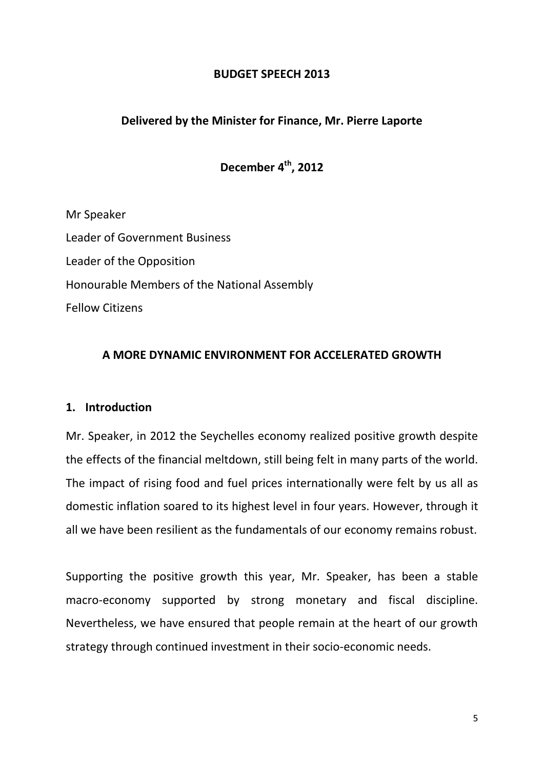## **BUDGET SPEECH 2013**

## **Delivered by the Minister for Finance, Mr. Pierre Laporte**

# **December 4th, 2012**

Mr Speaker Leader of Government Business Leader of the Opposition Honourable Members of the National Assembly Fellow Citizens

## **A MORE DYNAMIC ENVIRONMENT FOR ACCELERATED GROWTH**

## **1. Introduction**

Mr. Speaker, in 2012 the Seychelles economy realized positive growth despite the effects of the financial meltdown, still being felt in many parts of the world. The impact of rising food and fuel prices internationally were felt by us all as domestic inflation soared to its highest level in four years. However, through it all we have been resilient as the fundamentals of our economy remains robust.

Supporting the positive growth this year, Mr. Speaker, has been a stable macro-economy supported by strong monetary and fiscal discipline. Nevertheless, we have ensured that people remain at the heart of our growth strategy through continued investment in their socio-economic needs.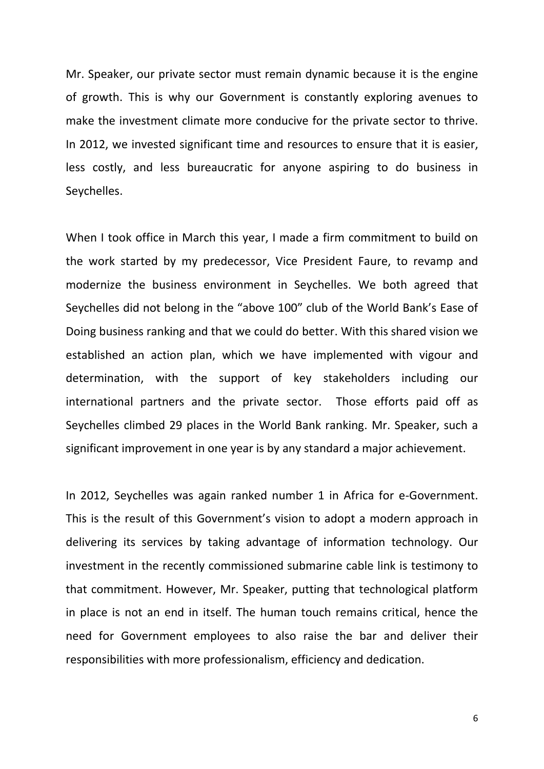Mr. Speaker, our private sector must remain dynamic because it is the engine of growth. This is why our Government is constantly exploring avenues to make the investment climate more conducive for the private sector to thrive. In 2012, we invested significant time and resources to ensure that it is easier, less costly, and less bureaucratic for anyone aspiring to do business in Seychelles.

When I took office in March this year, I made a firm commitment to build on the work started by my predecessor, Vice President Faure, to revamp and modernize the business environment in Seychelles. We both agreed that Seychelles did not belong in the "above 100" club of the World Bank's Ease of Doing business ranking and that we could do better. With this shared vision we established an action plan, which we have implemented with vigour and determination, with the support of key stakeholders including our international partners and the private sector. Those efforts paid off as Seychelles climbed 29 places in the World Bank ranking. Mr. Speaker, such a significant improvement in one year is by any standard a major achievement.

In 2012, Seychelles was again ranked number 1 in Africa for e-Government. This is the result of this Government's vision to adopt a modern approach in delivering its services by taking advantage of information technology. Our investment in the recently commissioned submarine cable link is testimony to that commitment. However, Mr. Speaker, putting that technological platform in place is not an end in itself. The human touch remains critical, hence the need for Government employees to also raise the bar and deliver their responsibilities with more professionalism, efficiency and dedication.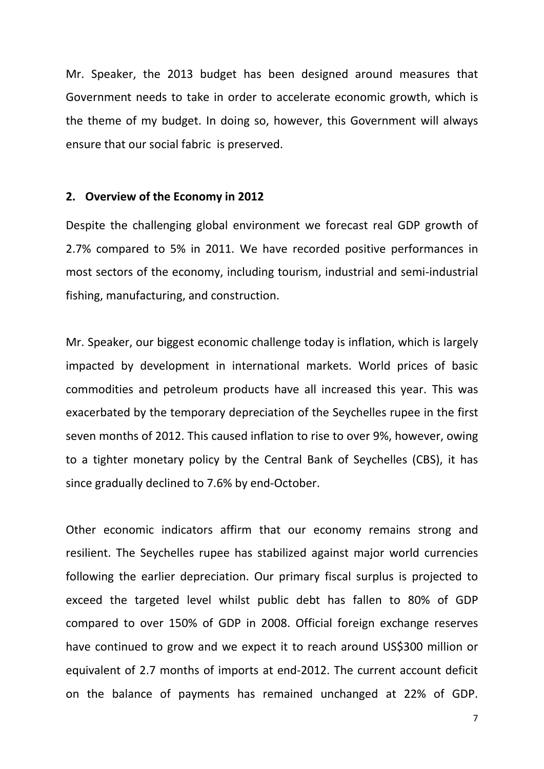Mr. Speaker, the 2013 budget has been designed around measures that Government needs to take in order to accelerate economic growth, which is the theme of my budget. In doing so, however, this Government will always ensure that our social fabric is preserved.

#### **2. Overview of the Economy in 2012**

Despite the challenging global environment we forecast real GDP growth of 2.7% compared to 5% in 2011. We have recorded positive performances in most sectors of the economy, including tourism, industrial and semi-industrial fishing, manufacturing, and construction.

Mr. Speaker, our biggest economic challenge today is inflation, which is largely impacted by development in international markets. World prices of basic commodities and petroleum products have all increased this year. This was exacerbated by the temporary depreciation of the Seychelles rupee in the first seven months of 2012. This caused inflation to rise to over 9%, however, owing to a tighter monetary policy by the Central Bank of Seychelles (CBS), it has since gradually declined to 7.6% by end-October.

Other economic indicators affirm that our economy remains strong and resilient. The Seychelles rupee has stabilized against major world currencies following the earlier depreciation. Our primary fiscal surplus is projected to exceed the targeted level whilst public debt has fallen to 80% of GDP compared to over 150% of GDP in 2008. Official foreign exchange reserves have continued to grow and we expect it to reach around US\$300 million or equivalent of 2.7 months of imports at end-2012. The current account deficit on the balance of payments has remained unchanged at 22% of GDP.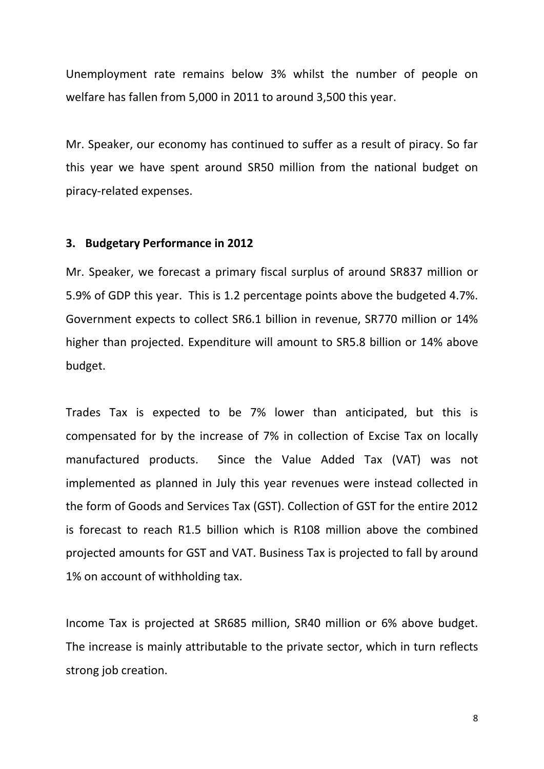Unemployment rate remains below 3% whilst the number of people on welfare has fallen from 5,000 in 2011 to around 3,500 this year.

Mr. Speaker, our economy has continued to suffer as a result of piracy. So far this year we have spent around SR50 million from the national budget on piracy-related expenses.

## **3. Budgetary Performance in 2012**

Mr. Speaker, we forecast a primary fiscal surplus of around SR837 million or 5.9% of GDP this year. This is 1.2 percentage points above the budgeted 4.7%. Government expects to collect SR6.1 billion in revenue, SR770 million or 14% higher than projected. Expenditure will amount to SR5.8 billion or 14% above budget.

Trades Tax is expected to be 7% lower than anticipated, but this is compensated for by the increase of 7% in collection of Excise Tax on locally manufactured products. Since the Value Added Tax (VAT) was not implemented as planned in July this year revenues were instead collected in the form of Goods and Services Tax (GST). Collection of GST for the entire 2012 is forecast to reach R1.5 billion which is R108 million above the combined projected amounts for GST and VAT. Business Tax is projected to fall by around 1% on account of withholding tax.

Income Tax is projected at SR685 million, SR40 million or 6% above budget. The increase is mainly attributable to the private sector, which in turn reflects strong job creation.

8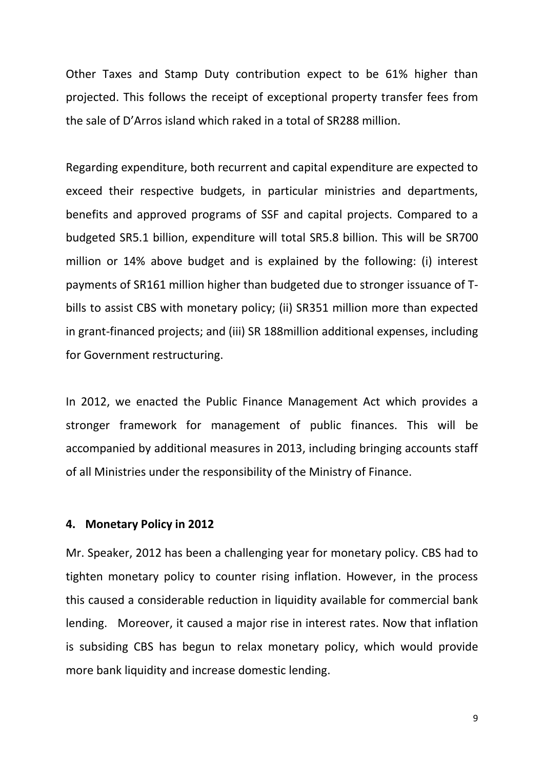Other Taxes and Stamp Duty contribution expect to be 61% higher than projected. This follows the receipt of exceptional property transfer fees from the sale of D'Arros island which raked in a total of SR288 million.

Regarding expenditure, both recurrent and capital expenditure are expected to exceed their respective budgets, in particular ministries and departments, benefits and approved programs of SSF and capital projects. Compared to a budgeted SR5.1 billion, expenditure will total SR5.8 billion. This will be SR700 million or 14% above budget and is explained by the following: (i) interest payments of SR161 million higher than budgeted due to stronger issuance of Tbills to assist CBS with monetary policy; (ii) SR351 million more than expected in grant-financed projects; and (iii) SR 188million additional expenses, including for Government restructuring.

In 2012, we enacted the Public Finance Management Act which provides a stronger framework for management of public finances. This will be accompanied by additional measures in 2013, including bringing accounts staff of all Ministries under the responsibility of the Ministry of Finance.

#### **4. Monetary Policy in 2012**

Mr. Speaker, 2012 has been a challenging year for monetary policy. CBS had to tighten monetary policy to counter rising inflation. However, in the process this caused a considerable reduction in liquidity available for commercial bank lending. Moreover, it caused a major rise in interest rates. Now that inflation is subsiding CBS has begun to relax monetary policy, which would provide more bank liquidity and increase domestic lending.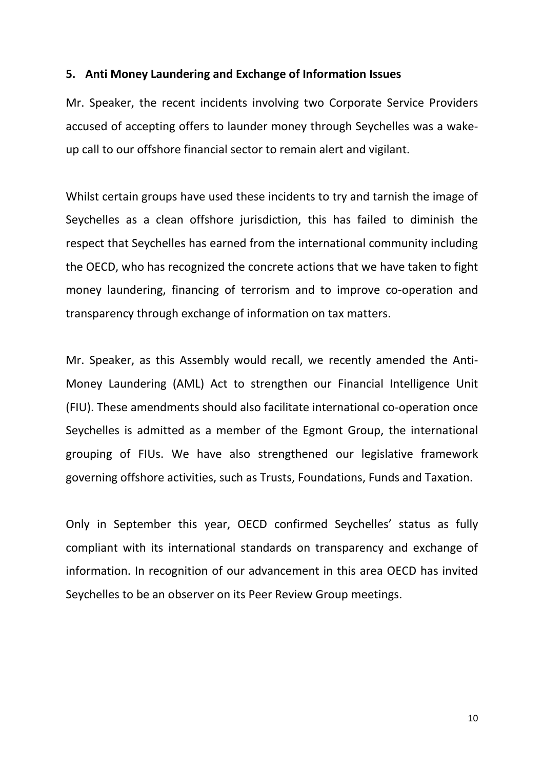## **5. Anti Money Laundering and Exchange of Information Issues**

Mr. Speaker, the recent incidents involving two Corporate Service Providers accused of accepting offers to launder money through Seychelles was a wakeup call to our offshore financial sector to remain alert and vigilant.

Whilst certain groups have used these incidents to try and tarnish the image of Seychelles as a clean offshore jurisdiction, this has failed to diminish the respect that Seychelles has earned from the international community including the OECD, who has recognized the concrete actions that we have taken to fight money laundering, financing of terrorism and to improve co-operation and transparency through exchange of information on tax matters.

Mr. Speaker, as this Assembly would recall, we recently amended the Anti-Money Laundering (AML) Act to strengthen our Financial Intelligence Unit (FIU). These amendments should also facilitate international co-operation once Seychelles is admitted as a member of the Egmont Group, the international grouping of FIUs. We have also strengthened our legislative framework governing offshore activities, such as Trusts, Foundations, Funds and Taxation.

Only in September this year, OECD confirmed Seychelles' status as fully compliant with its international standards on transparency and exchange of information. In recognition of our advancement in this area OECD has invited Seychelles to be an observer on its Peer Review Group meetings.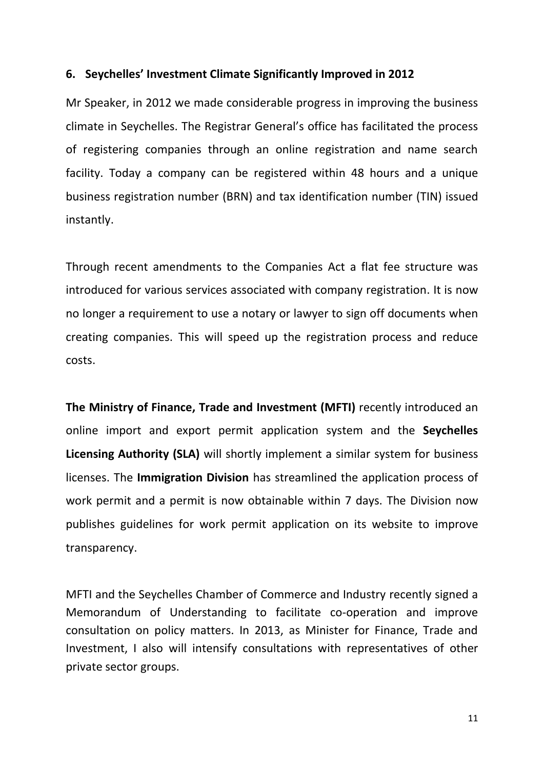## **6. Seychelles' Investment Climate Significantly Improved in 2012**

Mr Speaker, in 2012 we made considerable progress in improving the business climate in Seychelles. The Registrar General's office has facilitated the process of registering companies through an online registration and name search facility. Today a company can be registered within 48 hours and a unique business registration number (BRN) and tax identification number (TIN) issued instantly.

Through recent amendments to the Companies Act a flat fee structure was introduced for various services associated with company registration. It is now no longer a requirement to use a notary or lawyer to sign off documents when creating companies. This will speed up the registration process and reduce costs.

**The Ministry of Finance, Trade and Investment (MFTI)** recently introduced an online import and export permit application system and the **Seychelles Licensing Authority (SLA)** will shortly implement a similar system for business licenses. The **Immigration Division** has streamlined the application process of work permit and a permit is now obtainable within 7 days. The Division now publishes guidelines for work permit application on its website to improve transparency.

MFTI and the Seychelles Chamber of Commerce and Industry recently signed a Memorandum of Understanding to facilitate co-operation and improve consultation on policy matters. In 2013, as Minister for Finance, Trade and Investment, I also will intensify consultations with representatives of other private sector groups.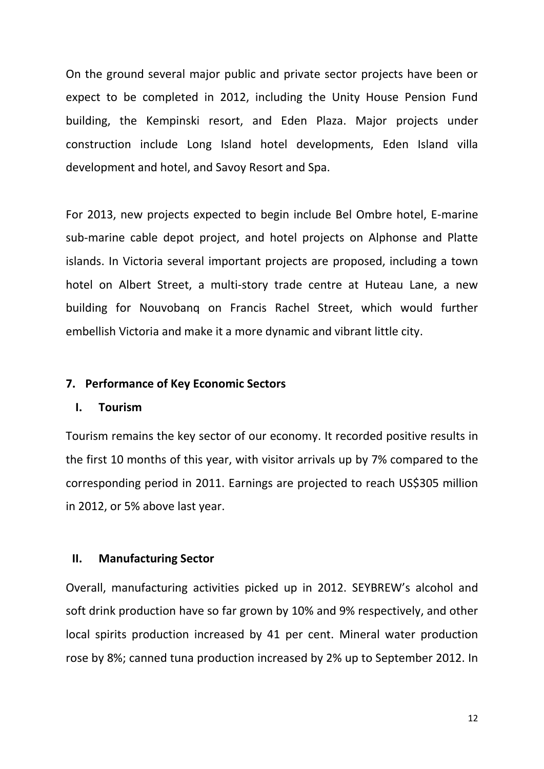On the ground several major public and private sector projects have been or expect to be completed in 2012, including the Unity House Pension Fund building, the Kempinski resort, and Eden Plaza. Major projects under construction include Long Island hotel developments, Eden Island villa development and hotel, and Savoy Resort and Spa.

For 2013, new projects expected to begin include Bel Ombre hotel, E-marine sub-marine cable depot project, and hotel projects on Alphonse and Platte islands. In Victoria several important projects are proposed, including a town hotel on Albert Street, a multi-story trade centre at Huteau Lane, a new building for Nouvobanq on Francis Rachel Street, which would further embellish Victoria and make it a more dynamic and vibrant little city.

## **7. Performance of Key Economic Sectors**

#### **I. Tourism**

Tourism remains the key sector of our economy. It recorded positive results in the first 10 months of this year, with visitor arrivals up by 7% compared to the corresponding period in 2011. Earnings are projected to reach US\$305 million in 2012, or 5% above last year.

## **II. Manufacturing Sector**

Overall, manufacturing activities picked up in 2012. SEYBREW's alcohol and soft drink production have so far grown by 10% and 9% respectively, and other local spirits production increased by 41 per cent. Mineral water production rose by 8%; canned tuna production increased by 2% up to September 2012. In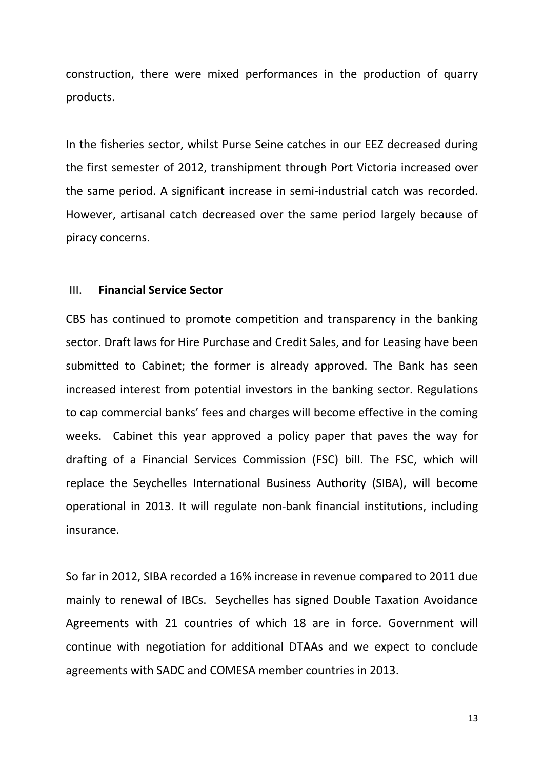construction, there were mixed performances in the production of quarry products.

In the fisheries sector, whilst Purse Seine catches in our EEZ decreased during the first semester of 2012, transhipment through Port Victoria increased over the same period. A significant increase in semi-industrial catch was recorded. However, artisanal catch decreased over the same period largely because of piracy concerns.

#### III. **Financial Service Sector**

CBS has continued to promote competition and transparency in the banking sector. Draft laws for Hire Purchase and Credit Sales, and for Leasing have been submitted to Cabinet; the former is already approved. The Bank has seen increased interest from potential investors in the banking sector. Regulations to cap commercial banks' fees and charges will become effective in the coming weeks. Cabinet this year approved a policy paper that paves the way for drafting of a Financial Services Commission (FSC) bill. The FSC, which will replace the Seychelles International Business Authority (SIBA), will become operational in 2013. It will regulate non-bank financial institutions, including insurance.

So far in 2012, SIBA recorded a 16% increase in revenue compared to 2011 due mainly to renewal of IBCs. Seychelles has signed Double Taxation Avoidance Agreements with 21 countries of which 18 are in force. Government will continue with negotiation for additional DTAAs and we expect to conclude agreements with SADC and COMESA member countries in 2013.

13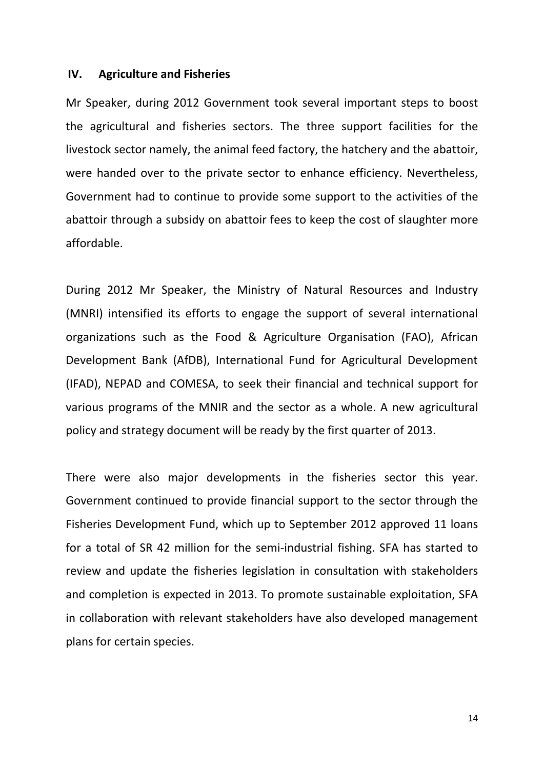#### **IV. Agriculture and Fisheries**

Mr Speaker, during 2012 Government took several important steps to boost the agricultural and fisheries sectors. The three support facilities for the livestock sector namely, the animal feed factory, the hatchery and the abattoir, were handed over to the private sector to enhance efficiency. Nevertheless, Government had to continue to provide some support to the activities of the abattoir through a subsidy on abattoir fees to keep the cost of slaughter more affordable.

During 2012 Mr Speaker, the Ministry of Natural Resources and Industry (MNRI) intensified its efforts to engage the support of several international organizations such as the Food & Agriculture Organisation (FAO), African Development Bank (AfDB), International Fund for Agricultural Development (IFAD), NEPAD and COMESA, to seek their financial and technical support for various programs of the MNIR and the sector as a whole. A new agricultural policy and strategy document will be ready by the first quarter of 2013.

There were also major developments in the fisheries sector this year. Government continued to provide financial support to the sector through the Fisheries Development Fund, which up to September 2012 approved 11 loans for a total of SR 42 million for the semi-industrial fishing. SFA has started to review and update the fisheries legislation in consultation with stakeholders and completion is expected in 2013. To promote sustainable exploitation, SFA in collaboration with relevant stakeholders have also developed management plans for certain species.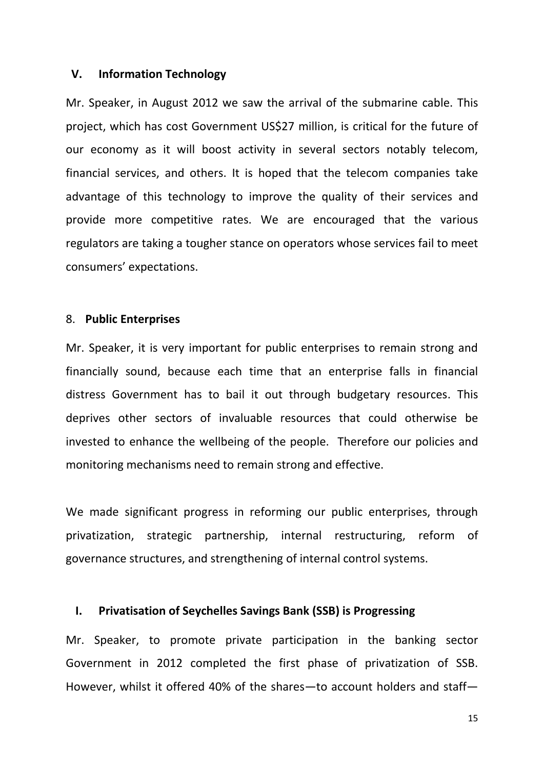#### **V. Information Technology**

Mr. Speaker, in August 2012 we saw the arrival of the submarine cable. This project, which has cost Government US\$27 million, is critical for the future of our economy as it will boost activity in several sectors notably telecom, financial services, and others. It is hoped that the telecom companies take advantage of this technology to improve the quality of their services and provide more competitive rates. We are encouraged that the various regulators are taking a tougher stance on operators whose services fail to meet consumers' expectations.

#### 8. **Public Enterprises**

Mr. Speaker, it is very important for public enterprises to remain strong and financially sound, because each time that an enterprise falls in financial distress Government has to bail it out through budgetary resources. This deprives other sectors of invaluable resources that could otherwise be invested to enhance the wellbeing of the people. Therefore our policies and monitoring mechanisms need to remain strong and effective.

We made significant progress in reforming our public enterprises, through privatization, strategic partnership, internal restructuring, reform of governance structures, and strengthening of internal control systems.

#### **I. Privatisation of Seychelles Savings Bank (SSB) is Progressing**

Mr. Speaker, to promote private participation in the banking sector Government in 2012 completed the first phase of privatization of SSB. However, whilst it offered 40% of the shares—to account holders and staff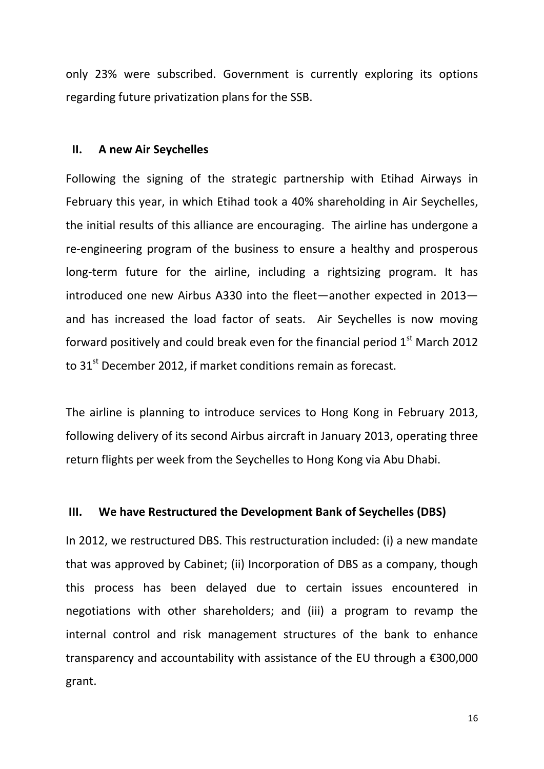only 23% were subscribed. Government is currently exploring its options regarding future privatization plans for the SSB.

#### **II. A new Air Seychelles**

Following the signing of the strategic partnership with Etihad Airways in February this year, in which Etihad took a 40% shareholding in Air Seychelles, the initial results of this alliance are encouraging. The airline has undergone a re-engineering program of the business to ensure a healthy and prosperous long-term future for the airline, including a rightsizing program. It has introduced one new Airbus A330 into the fleet—another expected in 2013 and has increased the load factor of seats. Air Seychelles is now moving forward positively and could break even for the financial period  $1<sup>st</sup>$  March 2012 to  $31<sup>st</sup>$  December 2012, if market conditions remain as forecast.

The airline is planning to introduce services to Hong Kong in February 2013, following delivery of its second Airbus aircraft in January 2013, operating three return flights per week from the Seychelles to Hong Kong via Abu Dhabi.

#### **III. We have Restructured the Development Bank of Seychelles (DBS)**

In 2012, we restructured DBS. This restructuration included: (i) a new mandate that was approved by Cabinet; (ii) Incorporation of DBS as a company, though this process has been delayed due to certain issues encountered in negotiations with other shareholders; and (iii) a program to revamp the internal control and risk management structures of the bank to enhance transparency and accountability with assistance of the EU through a €300,000 grant.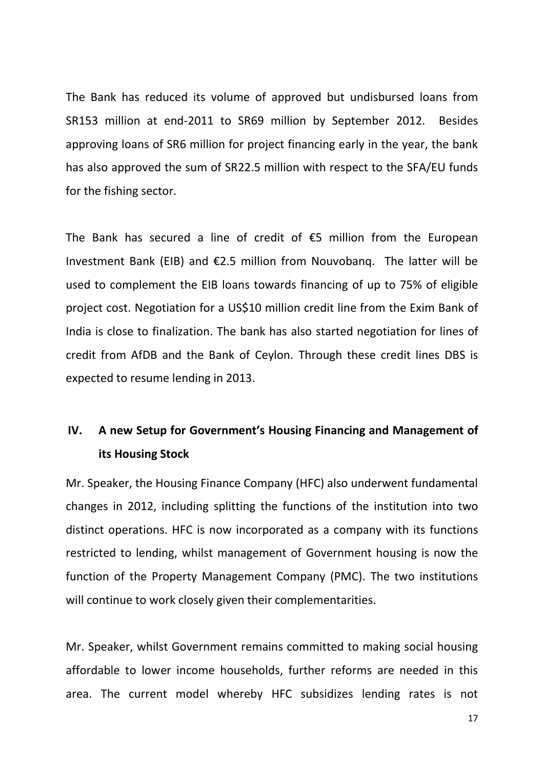The Bank has reduced its volume of approved but undisbursed loans from SR153 million at end-2011 to SR69 million by September 2012. Besides approving loans of SR6 million for project financing early in the year, the bank has also approved the sum of SR22.5 million with respect to the SFA/EU funds for the fishing sector.

The Bank has secured a line of credit of  $E$ 5 million from the European Investment Bank (EIB) and €2.5 million from Nouvobanq. The latter will be used to complement the EIB loans towards financing of up to 75% of eligible project cost. Negotiation for a US\$10 million credit line from the Exim Bank of India is close to finalization. The bank has also started negotiation for lines of credit from AfDB and the Bank of Ceylon. Through these credit lines DBS is expected to resume lending in 2013.

# **IV. A new Setup for Government's Housing Financing and Management of its Housing Stock**

Mr. Speaker, the Housing Finance Company (HFC) also underwent fundamental changes in 2012, including splitting the functions of the institution into two distinct operations. HFC is now incorporated as a company with its functions restricted to lending, whilst management of Government housing is now the function of the Property Management Company (PMC). The two institutions will continue to work closely given their complementarities.

Mr. Speaker, whilst Government remains committed to making social housing affordable to lower income households, further reforms are needed in this area. The current model whereby HFC subsidizes lending rates is not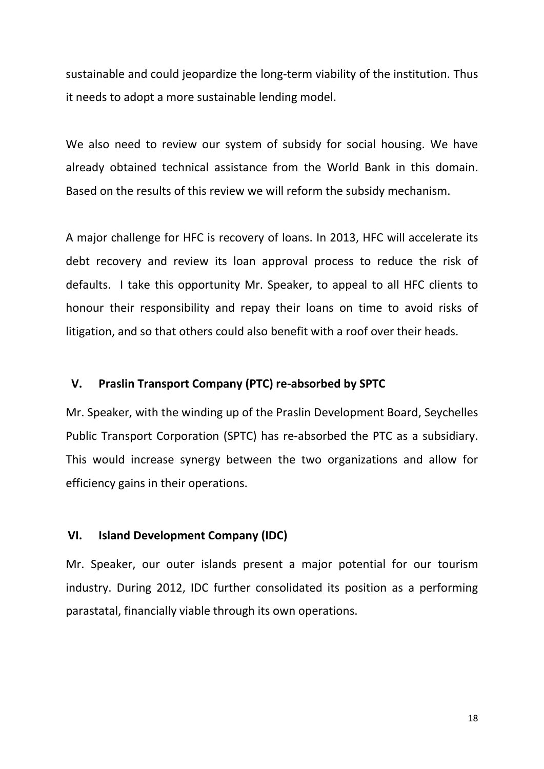sustainable and could jeopardize the long-term viability of the institution. Thus it needs to adopt a more sustainable lending model.

We also need to review our system of subsidy for social housing. We have already obtained technical assistance from the World Bank in this domain. Based on the results of this review we will reform the subsidy mechanism.

A major challenge for HFC is recovery of loans. In 2013, HFC will accelerate its debt recovery and review its loan approval process to reduce the risk of defaults. I take this opportunity Mr. Speaker, to appeal to all HFC clients to honour their responsibility and repay their loans on time to avoid risks of litigation, and so that others could also benefit with a roof over their heads.

#### **V. Praslin Transport Company (PTC) re-absorbed by SPTC**

Mr. Speaker, with the winding up of the Praslin Development Board, Seychelles Public Transport Corporation (SPTC) has re-absorbed the PTC as a subsidiary. This would increase synergy between the two organizations and allow for efficiency gains in their operations.

## **VI. Island Development Company (IDC)**

Mr. Speaker, our outer islands present a major potential for our tourism industry. During 2012, IDC further consolidated its position as a performing parastatal, financially viable through its own operations.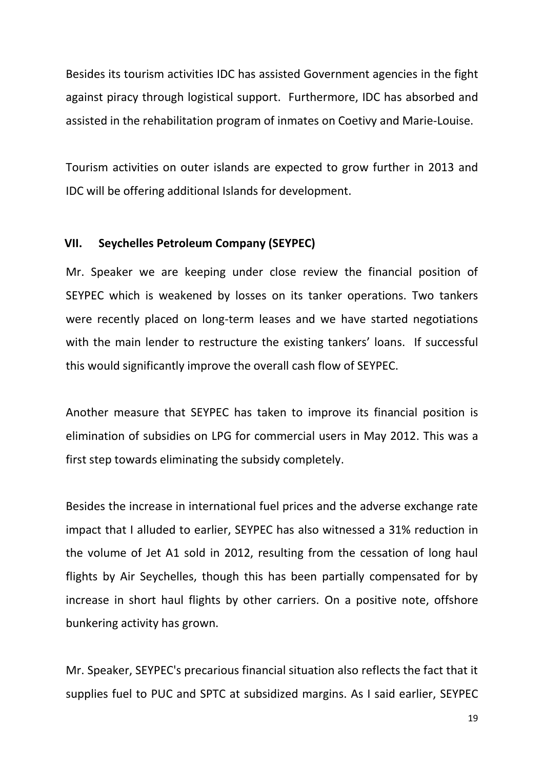Besides its tourism activities IDC has assisted Government agencies in the fight against piracy through logistical support. Furthermore, IDC has absorbed and assisted in the rehabilitation program of inmates on Coetivy and Marie-Louise.

Tourism activities on outer islands are expected to grow further in 2013 and IDC will be offering additional Islands for development.

## **VII. Seychelles Petroleum Company (SEYPEC)**

Mr. Speaker we are keeping under close review the financial position of SEYPEC which is weakened by losses on its tanker operations. Two tankers were recently placed on long-term leases and we have started negotiations with the main lender to restructure the existing tankers' loans. If successful this would significantly improve the overall cash flow of SEYPEC.

Another measure that SEYPEC has taken to improve its financial position is elimination of subsidies on LPG for commercial users in May 2012. This was a first step towards eliminating the subsidy completely.

Besides the increase in international fuel prices and the adverse exchange rate impact that I alluded to earlier, SEYPEC has also witnessed a 31% reduction in the volume of Jet A1 sold in 2012, resulting from the cessation of long haul flights by Air Seychelles, though this has been partially compensated for by increase in short haul flights by other carriers. On a positive note, offshore bunkering activity has grown.

Mr. Speaker, SEYPEC's precarious financial situation also reflects the fact that it supplies fuel to PUC and SPTC at subsidized margins. As I said earlier, SEYPEC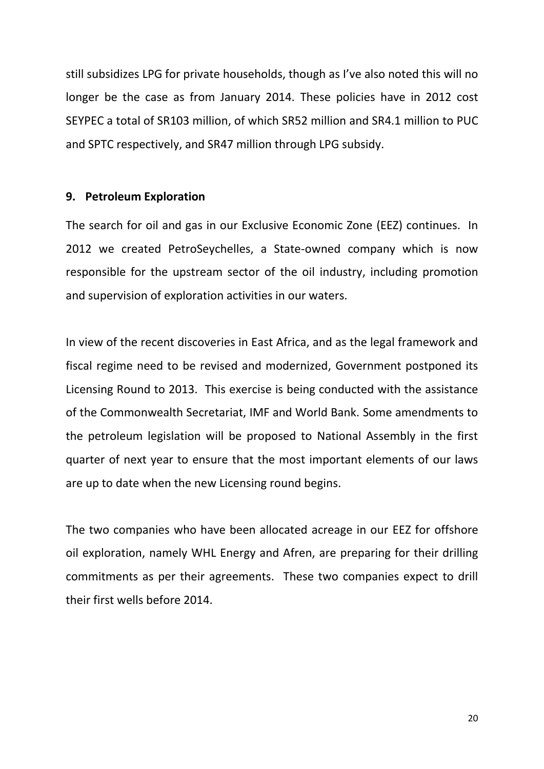still subsidizes LPG for private households, though as I've also noted this will no longer be the case as from January 2014. These policies have in 2012 cost SEYPEC a total of SR103 million, of which SR52 million and SR4.1 million to PUC and SPTC respectively, and SR47 million through LPG subsidy.

## **9. Petroleum Exploration**

The search for oil and gas in our Exclusive Economic Zone (EEZ) continues. In 2012 we created PetroSeychelles, a State-owned company which is now responsible for the upstream sector of the oil industry, including promotion and supervision of exploration activities in our waters.

In view of the recent discoveries in East Africa, and as the legal framework and fiscal regime need to be revised and modernized, Government postponed its Licensing Round to 2013. This exercise is being conducted with the assistance of the Commonwealth Secretariat, IMF and World Bank. Some amendments to the petroleum legislation will be proposed to National Assembly in the first quarter of next year to ensure that the most important elements of our laws are up to date when the new Licensing round begins.

The two companies who have been allocated acreage in our EEZ for offshore oil exploration, namely WHL Energy and Afren, are preparing for their drilling commitments as per their agreements. These two companies expect to drill their first wells before 2014.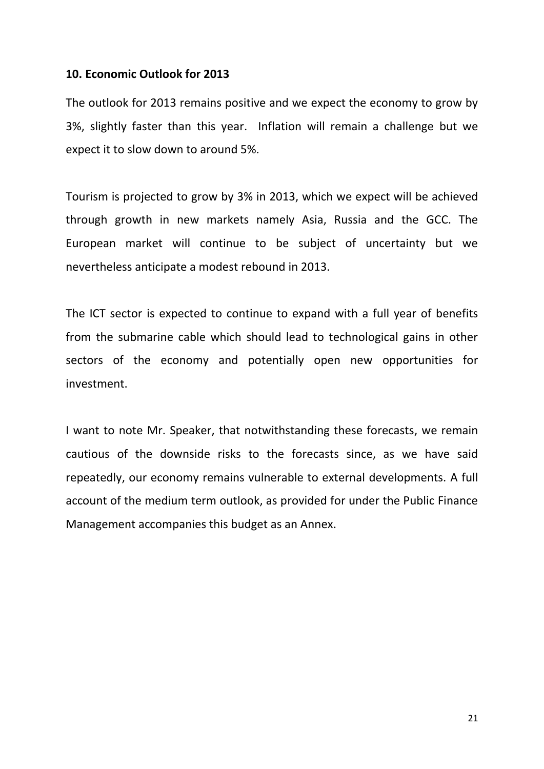## **10. Economic Outlook for 2013**

The outlook for 2013 remains positive and we expect the economy to grow by 3%, slightly faster than this year. Inflation will remain a challenge but we expect it to slow down to around 5%.

Tourism is projected to grow by 3% in 2013, which we expect will be achieved through growth in new markets namely Asia, Russia and the GCC. The European market will continue to be subject of uncertainty but we nevertheless anticipate a modest rebound in 2013.

The ICT sector is expected to continue to expand with a full year of benefits from the submarine cable which should lead to technological gains in other sectors of the economy and potentially open new opportunities for investment.

I want to note Mr. Speaker, that notwithstanding these forecasts, we remain cautious of the downside risks to the forecasts since, as we have said repeatedly, our economy remains vulnerable to external developments. A full account of the medium term outlook, as provided for under the Public Finance Management accompanies this budget as an Annex.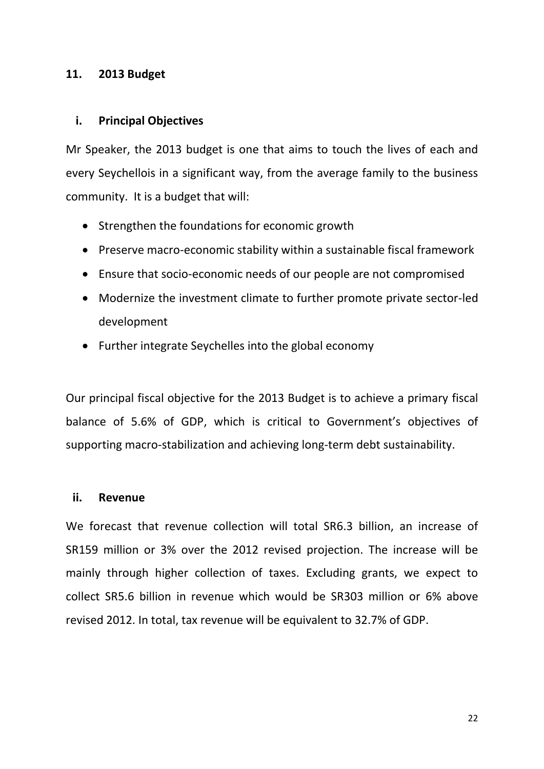## **11. 2013 Budget**

## **i. Principal Objectives**

Mr Speaker, the 2013 budget is one that aims to touch the lives of each and every Seychellois in a significant way, from the average family to the business community. It is a budget that will:

- Strengthen the foundations for economic growth
- Preserve macro-economic stability within a sustainable fiscal framework
- Ensure that socio-economic needs of our people are not compromised
- Modernize the investment climate to further promote private sector-led development
- Further integrate Seychelles into the global economy

Our principal fiscal objective for the 2013 Budget is to achieve a primary fiscal balance of 5.6% of GDP, which is critical to Government's objectives of supporting macro-stabilization and achieving long-term debt sustainability.

## **ii. Revenue**

We forecast that revenue collection will total SR6.3 billion, an increase of SR159 million or 3% over the 2012 revised projection. The increase will be mainly through higher collection of taxes. Excluding grants, we expect to collect SR5.6 billion in revenue which would be SR303 million or 6% above revised 2012. In total, tax revenue will be equivalent to 32.7% of GDP.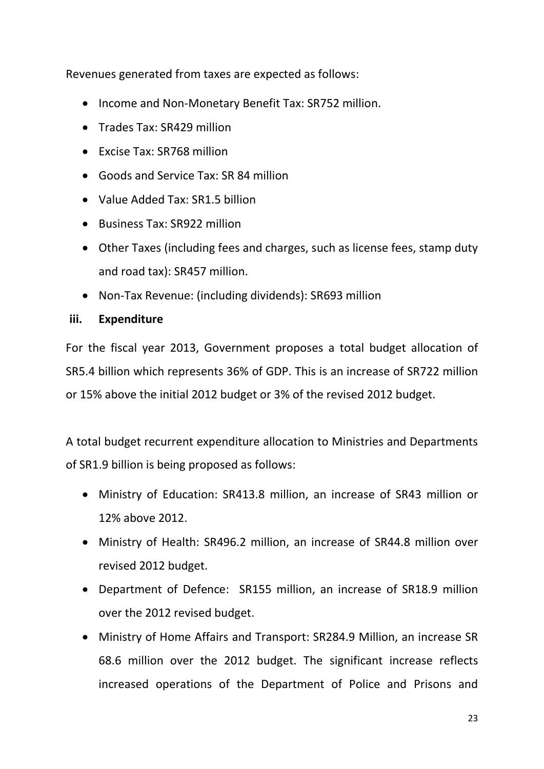Revenues generated from taxes are expected as follows:

- Income and Non-Monetary Benefit Tax: SR752 million.
- Trades Tax: SR429 million
- Excise Tax: SR768 million
- Goods and Service Tax: SR 84 million
- Value Added Tax: SR1.5 billion
- Business Tax: SR922 million
- Other Taxes (including fees and charges, such as license fees, stamp duty and road tax): SR457 million.
- Non-Tax Revenue: (including dividends): SR693 million

## **iii. Expenditure**

For the fiscal year 2013, Government proposes a total budget allocation of SR5.4 billion which represents 36% of GDP. This is an increase of SR722 million or 15% above the initial 2012 budget or 3% of the revised 2012 budget.

A total budget recurrent expenditure allocation to Ministries and Departments of SR1.9 billion is being proposed as follows:

- Ministry of Education: SR413.8 million, an increase of SR43 million or 12% above 2012.
- Ministry of Health: SR496.2 million, an increase of SR44.8 million over revised 2012 budget.
- Department of Defence: SR155 million, an increase of SR18.9 million over the 2012 revised budget.
- Ministry of Home Affairs and Transport: SR284.9 Million, an increase SR 68.6 million over the 2012 budget. The significant increase reflects increased operations of the Department of Police and Prisons and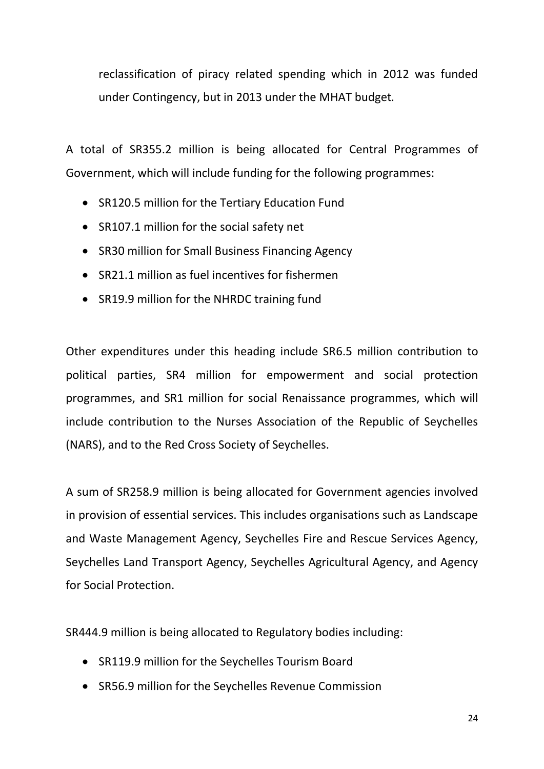reclassification of piracy related spending which in 2012 was funded under Contingency, but in 2013 under the MHAT budget*.*

A total of SR355.2 million is being allocated for Central Programmes of Government, which will include funding for the following programmes:

- SR120.5 million for the Tertiary Education Fund
- SR107.1 million for the social safety net
- SR30 million for Small Business Financing Agency
- SR21.1 million as fuel incentives for fishermen
- SR19.9 million for the NHRDC training fund

Other expenditures under this heading include SR6.5 million contribution to political parties, SR4 million for empowerment and social protection programmes, and SR1 million for social Renaissance programmes, which will include contribution to the Nurses Association of the Republic of Seychelles (NARS), and to the Red Cross Society of Seychelles.

A sum of SR258.9 million is being allocated for Government agencies involved in provision of essential services. This includes organisations such as Landscape and Waste Management Agency, Seychelles Fire and Rescue Services Agency, Seychelles Land Transport Agency, Seychelles Agricultural Agency, and Agency for Social Protection.

SR444.9 million is being allocated to Regulatory bodies including:

- SR119.9 million for the Seychelles Tourism Board
- SR56.9 million for the Seychelles Revenue Commission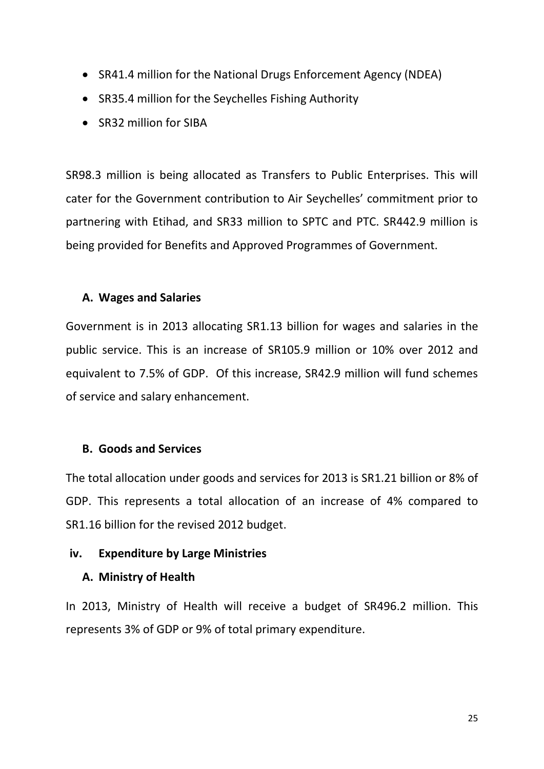- SR41.4 million for the National Drugs Enforcement Agency (NDEA)
- SR35.4 million for the Seychelles Fishing Authority
- SR32 million for SIBA

SR98.3 million is being allocated as Transfers to Public Enterprises. This will cater for the Government contribution to Air Seychelles' commitment prior to partnering with Etihad, and SR33 million to SPTC and PTC. SR442.9 million is being provided for Benefits and Approved Programmes of Government.

## **A. Wages and Salaries**

Government is in 2013 allocating SR1.13 billion for wages and salaries in the public service. This is an increase of SR105.9 million or 10% over 2012 and equivalent to 7.5% of GDP. Of this increase, SR42.9 million will fund schemes of service and salary enhancement.

## **B. Goods and Services**

The total allocation under goods and services for 2013 is SR1.21 billion or 8% of GDP. This represents a total allocation of an increase of 4% compared to SR1.16 billion for the revised 2012 budget.

## **iv. Expenditure by Large Ministries**

## **A. Ministry of Health**

In 2013, Ministry of Health will receive a budget of SR496.2 million. This represents 3% of GDP or 9% of total primary expenditure.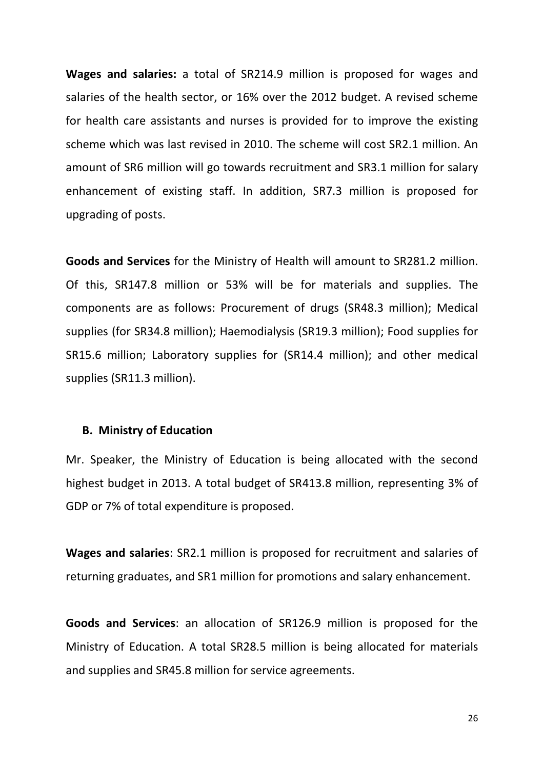**Wages and salaries:** a total of SR214.9 million is proposed for wages and salaries of the health sector, or 16% over the 2012 budget. A revised scheme for health care assistants and nurses is provided for to improve the existing scheme which was last revised in 2010. The scheme will cost SR2.1 million. An amount of SR6 million will go towards recruitment and SR3.1 million for salary enhancement of existing staff. In addition, SR7.3 million is proposed for upgrading of posts.

**Goods and Services** for the Ministry of Health will amount to SR281.2 million. Of this, SR147.8 million or 53% will be for materials and supplies. The components are as follows: Procurement of drugs (SR48.3 million); Medical supplies (for SR34.8 million); Haemodialysis (SR19.3 million); Food supplies for SR15.6 million; Laboratory supplies for (SR14.4 million); and other medical supplies (SR11.3 million).

#### **B. Ministry of Education**

Mr. Speaker, the Ministry of Education is being allocated with the second highest budget in 2013. A total budget of SR413.8 million, representing 3% of GDP or 7% of total expenditure is proposed.

**Wages and salaries**: SR2.1 million is proposed for recruitment and salaries of returning graduates, and SR1 million for promotions and salary enhancement.

**Goods and Services**: an allocation of SR126.9 million is proposed for the Ministry of Education. A total SR28.5 million is being allocated for materials and supplies and SR45.8 million for service agreements.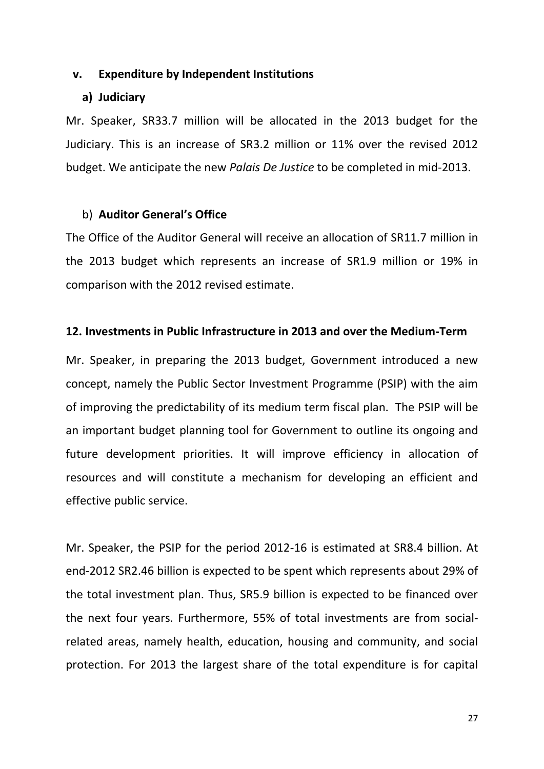#### **v. Expenditure by Independent Institutions**

### **a) Judiciary**

Mr. Speaker, SR33.7 million will be allocated in the 2013 budget for the Judiciary. This is an increase of SR3.2 million or 11% over the revised 2012 budget. We anticipate the new *Palais De Justice* to be completed in mid-2013.

## b) **Auditor General's Office**

The Office of the Auditor General will receive an allocation of SR11.7 million in the 2013 budget which represents an increase of SR1.9 million or 19% in comparison with the 2012 revised estimate.

#### **12. Investments in Public Infrastructure in 2013 and over the Medium-Term**

Mr. Speaker, in preparing the 2013 budget, Government introduced a new concept, namely the Public Sector Investment Programme (PSIP) with the aim of improving the predictability of its medium term fiscal plan. The PSIP will be an important budget planning tool for Government to outline its ongoing and future development priorities. It will improve efficiency in allocation of resources and will constitute a mechanism for developing an efficient and effective public service.

Mr. Speaker, the PSIP for the period 2012-16 is estimated at SR8.4 billion. At end-2012 SR2.46 billion is expected to be spent which represents about 29% of the total investment plan. Thus, SR5.9 billion is expected to be financed over the next four years. Furthermore, 55% of total investments are from socialrelated areas, namely health, education, housing and community, and social protection. For 2013 the largest share of the total expenditure is for capital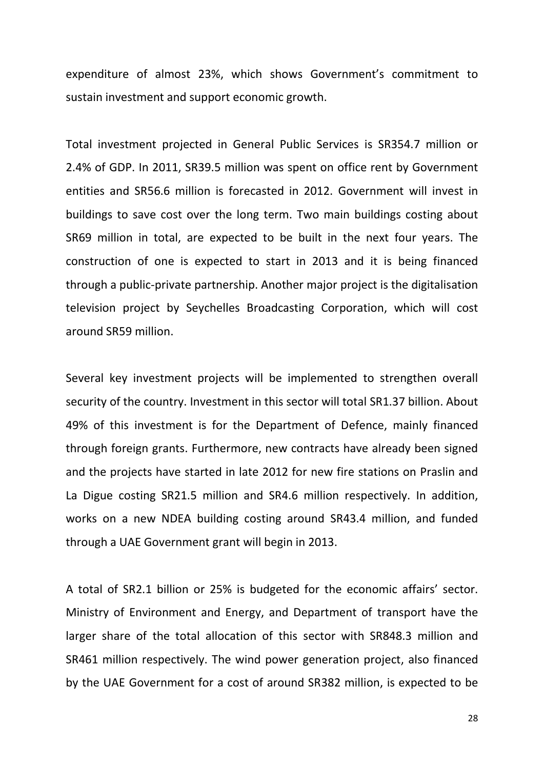expenditure of almost 23%, which shows Government's commitment to sustain investment and support economic growth.

Total investment projected in General Public Services is SR354.7 million or 2.4% of GDP. In 2011, SR39.5 million was spent on office rent by Government entities and SR56.6 million is forecasted in 2012. Government will invest in buildings to save cost over the long term. Two main buildings costing about SR69 million in total, are expected to be built in the next four years. The construction of one is expected to start in 2013 and it is being financed through a public-private partnership. Another major project is the digitalisation television project by Seychelles Broadcasting Corporation, which will cost around SR59 million.

Several key investment projects will be implemented to strengthen overall security of the country. Investment in this sector will total SR1.37 billion. About 49% of this investment is for the Department of Defence, mainly financed through foreign grants. Furthermore, new contracts have already been signed and the projects have started in late 2012 for new fire stations on Praslin and La Digue costing SR21.5 million and SR4.6 million respectively. In addition, works on a new NDEA building costing around SR43.4 million, and funded through a UAE Government grant will begin in 2013.

A total of SR2.1 billion or 25% is budgeted for the economic affairs' sector. Ministry of Environment and Energy, and Department of transport have the larger share of the total allocation of this sector with SR848.3 million and SR461 million respectively. The wind power generation project, also financed by the UAE Government for a cost of around SR382 million, is expected to be

28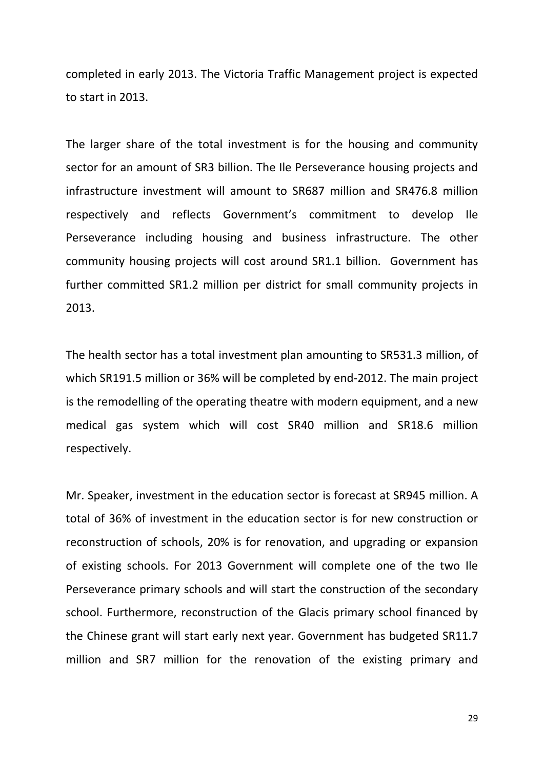completed in early 2013. The Victoria Traffic Management project is expected to start in 2013.

The larger share of the total investment is for the housing and community sector for an amount of SR3 billion. The Ile Perseverance housing projects and infrastructure investment will amount to SR687 million and SR476.8 million respectively and reflects Government's commitment to develop Ile Perseverance including housing and business infrastructure. The other community housing projects will cost around SR1.1 billion. Government has further committed SR1.2 million per district for small community projects in 2013.

The health sector has a total investment plan amounting to SR531.3 million, of which SR191.5 million or 36% will be completed by end-2012. The main project is the remodelling of the operating theatre with modern equipment, and a new medical gas system which will cost SR40 million and SR18.6 million respectively.

Mr. Speaker, investment in the education sector is forecast at SR945 million. A total of 36% of investment in the education sector is for new construction or reconstruction of schools, 20% is for renovation, and upgrading or expansion of existing schools. For 2013 Government will complete one of the two Ile Perseverance primary schools and will start the construction of the secondary school. Furthermore, reconstruction of the Glacis primary school financed by the Chinese grant will start early next year. Government has budgeted SR11.7 million and SR7 million for the renovation of the existing primary and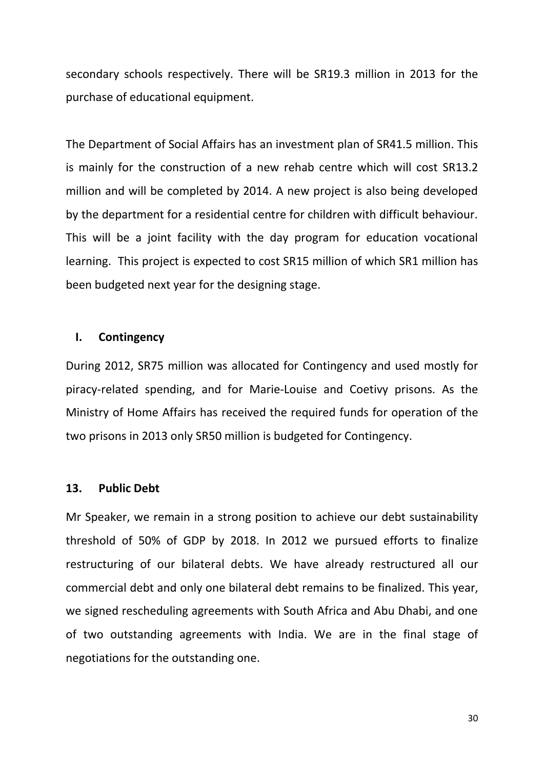secondary schools respectively. There will be SR19.3 million in 2013 for the purchase of educational equipment.

The Department of Social Affairs has an investment plan of SR41.5 million. This is mainly for the construction of a new rehab centre which will cost SR13.2 million and will be completed by 2014. A new project is also being developed by the department for a residential centre for children with difficult behaviour. This will be a joint facility with the day program for education vocational learning. This project is expected to cost SR15 million of which SR1 million has been budgeted next year for the designing stage.

## **I. Contingency**

During 2012, SR75 million was allocated for Contingency and used mostly for piracy-related spending, and for Marie-Louise and Coetivy prisons. As the Ministry of Home Affairs has received the required funds for operation of the two prisons in 2013 only SR50 million is budgeted for Contingency.

## **13. Public Debt**

Mr Speaker, we remain in a strong position to achieve our debt sustainability threshold of 50% of GDP by 2018. In 2012 we pursued efforts to finalize restructuring of our bilateral debts. We have already restructured all our commercial debt and only one bilateral debt remains to be finalized. This year, we signed rescheduling agreements with South Africa and Abu Dhabi, and one of two outstanding agreements with India. We are in the final stage of negotiations for the outstanding one.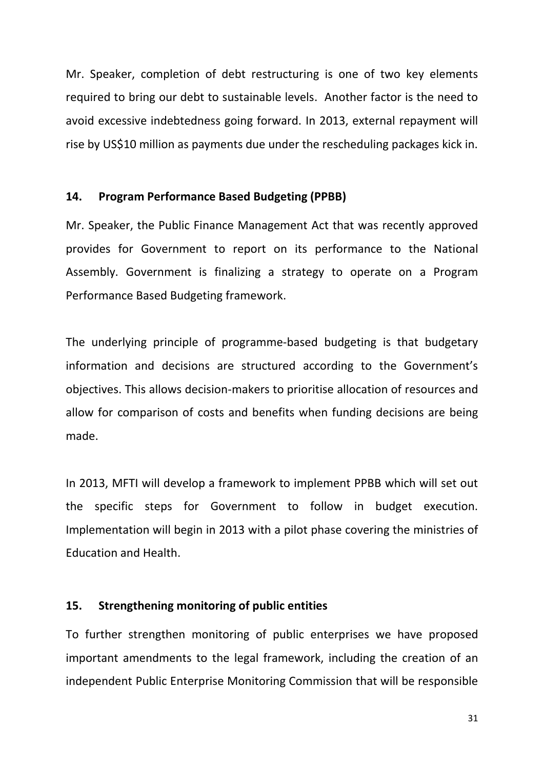Mr. Speaker, completion of debt restructuring is one of two key elements required to bring our debt to sustainable levels. Another factor is the need to avoid excessive indebtedness going forward. In 2013, external repayment will rise by US\$10 million as payments due under the rescheduling packages kick in.

## **14. Program Performance Based Budgeting (PPBB)**

Mr. Speaker, the Public Finance Management Act that was recently approved provides for Government to report on its performance to the National Assembly. Government is finalizing a strategy to operate on a Program Performance Based Budgeting framework.

The underlying principle of programme-based budgeting is that budgetary information and decisions are structured according to the Government's objectives. This allows decision-makers to prioritise allocation of resources and allow for comparison of costs and benefits when funding decisions are being made.

In 2013, MFTI will develop a framework to implement PPBB which will set out the specific steps for Government to follow in budget execution. Implementation will begin in 2013 with a pilot phase covering the ministries of Education and Health.

## **15. Strengthening monitoring of public entities**

To further strengthen monitoring of public enterprises we have proposed important amendments to the legal framework, including the creation of an independent Public Enterprise Monitoring Commission that will be responsible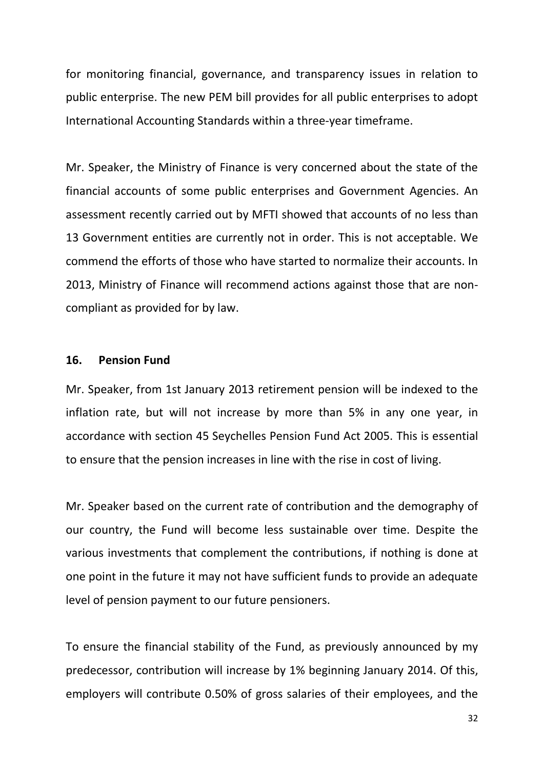for monitoring financial, governance, and transparency issues in relation to public enterprise. The new PEM bill provides for all public enterprises to adopt International Accounting Standards within a three-year timeframe.

Mr. Speaker, the Ministry of Finance is very concerned about the state of the financial accounts of some public enterprises and Government Agencies. An assessment recently carried out by MFTI showed that accounts of no less than 13 Government entities are currently not in order. This is not acceptable. We commend the efforts of those who have started to normalize their accounts. In 2013, Ministry of Finance will recommend actions against those that are noncompliant as provided for by law.

## **16. Pension Fund**

Mr. Speaker, from 1st January 2013 retirement pension will be indexed to the inflation rate, but will not increase by more than 5% in any one year, in accordance with section 45 Seychelles Pension Fund Act 2005. This is essential to ensure that the pension increases in line with the rise in cost of living.

Mr. Speaker based on the current rate of contribution and the demography of our country, the Fund will become less sustainable over time. Despite the various investments that complement the contributions, if nothing is done at one point in the future it may not have sufficient funds to provide an adequate level of pension payment to our future pensioners.

To ensure the financial stability of the Fund, as previously announced by my predecessor, contribution will increase by 1% beginning January 2014. Of this, employers will contribute 0.50% of gross salaries of their employees, and the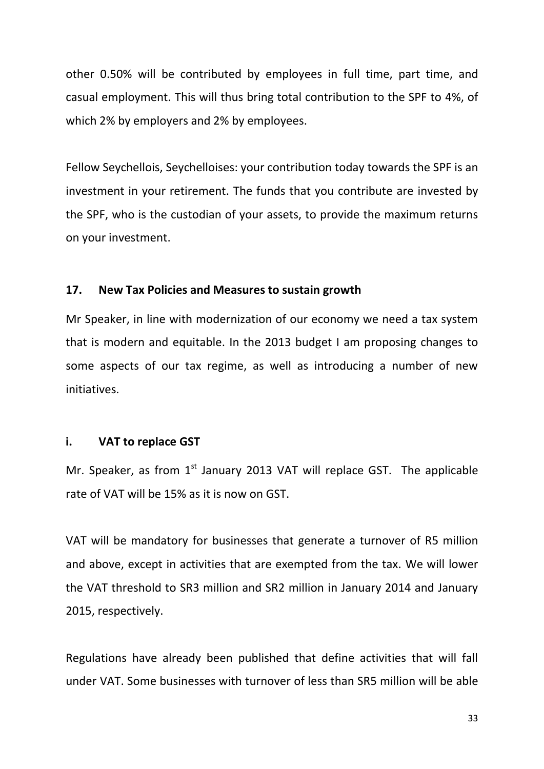other 0.50% will be contributed by employees in full time, part time, and casual employment. This will thus bring total contribution to the SPF to 4%, of which 2% by employers and 2% by employees.

Fellow Seychellois, Seychelloises: your contribution today towards the SPF is an investment in your retirement. The funds that you contribute are invested by the SPF, who is the custodian of your assets, to provide the maximum returns on your investment.

## **17. New Tax Policies and Measures to sustain growth**

Mr Speaker, in line with modernization of our economy we need a tax system that is modern and equitable. In the 2013 budget I am proposing changes to some aspects of our tax regime, as well as introducing a number of new initiatives.

## **i. VAT to replace GST**

Mr. Speaker, as from  $1<sup>st</sup>$  January 2013 VAT will replace GST. The applicable rate of VAT will be 15% as it is now on GST.

VAT will be mandatory for businesses that generate a turnover of R5 million and above, except in activities that are exempted from the tax. We will lower the VAT threshold to SR3 million and SR2 million in January 2014 and January 2015, respectively.

Regulations have already been published that define activities that will fall under VAT. Some businesses with turnover of less than SR5 million will be able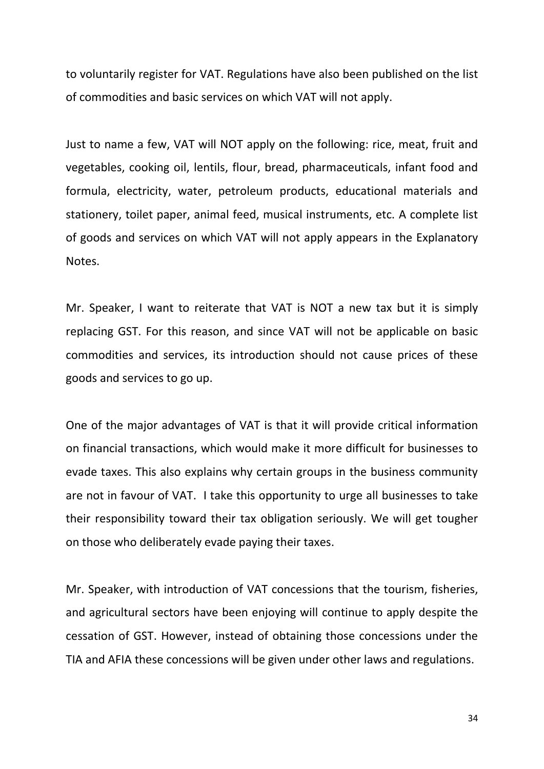to voluntarily register for VAT. Regulations have also been published on the list of commodities and basic services on which VAT will not apply.

Just to name a few, VAT will NOT apply on the following: rice, meat, fruit and vegetables, cooking oil, lentils, flour, bread, pharmaceuticals, infant food and formula, electricity, water, petroleum products, educational materials and stationery, toilet paper, animal feed, musical instruments, etc. A complete list of goods and services on which VAT will not apply appears in the Explanatory Notes.

Mr. Speaker, I want to reiterate that VAT is NOT a new tax but it is simply replacing GST. For this reason, and since VAT will not be applicable on basic commodities and services, its introduction should not cause prices of these goods and services to go up.

One of the major advantages of VAT is that it will provide critical information on financial transactions, which would make it more difficult for businesses to evade taxes. This also explains why certain groups in the business community are not in favour of VAT. I take this opportunity to urge all businesses to take their responsibility toward their tax obligation seriously. We will get tougher on those who deliberately evade paying their taxes.

Mr. Speaker, with introduction of VAT concessions that the tourism, fisheries, and agricultural sectors have been enjoying will continue to apply despite the cessation of GST. However, instead of obtaining those concessions under the TIA and AFIA these concessions will be given under other laws and regulations.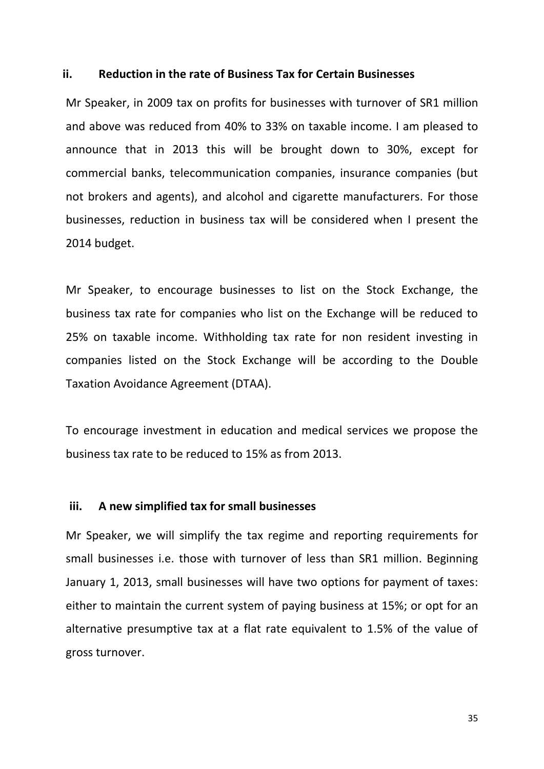#### **ii. Reduction in the rate of Business Tax for Certain Businesses**

Mr Speaker, in 2009 tax on profits for businesses with turnover of SR1 million and above was reduced from 40% to 33% on taxable income. I am pleased to announce that in 2013 this will be brought down to 30%, except for commercial banks, telecommunication companies, insurance companies (but not brokers and agents), and alcohol and cigarette manufacturers. For those businesses, reduction in business tax will be considered when I present the 2014 budget.

Mr Speaker, to encourage businesses to list on the Stock Exchange, the business tax rate for companies who list on the Exchange will be reduced to 25% on taxable income. Withholding tax rate for non resident investing in companies listed on the Stock Exchange will be according to the Double Taxation Avoidance Agreement (DTAA).

To encourage investment in education and medical services we propose the business tax rate to be reduced to 15% as from 2013.

## **iii. A new simplified tax for small businesses**

Mr Speaker, we will simplify the tax regime and reporting requirements for small businesses i.e. those with turnover of less than SR1 million. Beginning January 1, 2013, small businesses will have two options for payment of taxes: either to maintain the current system of paying business at 15%; or opt for an alternative presumptive tax at a flat rate equivalent to 1.5% of the value of gross turnover.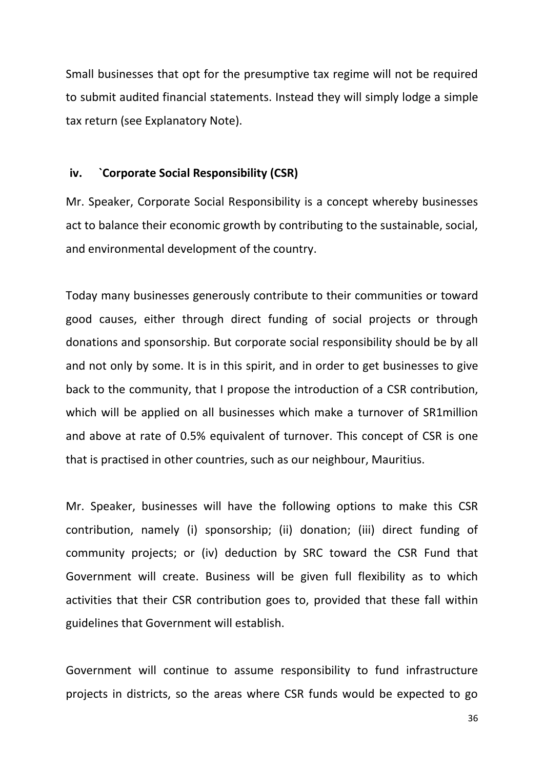Small businesses that opt for the presumptive tax regime will not be required to submit audited financial statements. Instead they will simply lodge a simple tax return (see Explanatory Note).

#### **iv. `Corporate Social Responsibility (CSR)**

Mr. Speaker, Corporate Social Responsibility is a concept whereby businesses act to balance their economic growth by contributing to the sustainable, social, and environmental development of the country.

Today many businesses generously contribute to their communities or toward good causes, either through direct funding of social projects or through donations and sponsorship. But corporate social responsibility should be by all and not only by some. It is in this spirit, and in order to get businesses to give back to the community, that I propose the introduction of a CSR contribution, which will be applied on all businesses which make a turnover of SR1million and above at rate of 0.5% equivalent of turnover. This concept of CSR is one that is practised in other countries, such as our neighbour, Mauritius.

Mr. Speaker, businesses will have the following options to make this CSR contribution, namely (i) sponsorship; (ii) donation; (iii) direct funding of community projects; or (iv) deduction by SRC toward the CSR Fund that Government will create. Business will be given full flexibility as to which activities that their CSR contribution goes to, provided that these fall within guidelines that Government will establish.

Government will continue to assume responsibility to fund infrastructure projects in districts, so the areas where CSR funds would be expected to go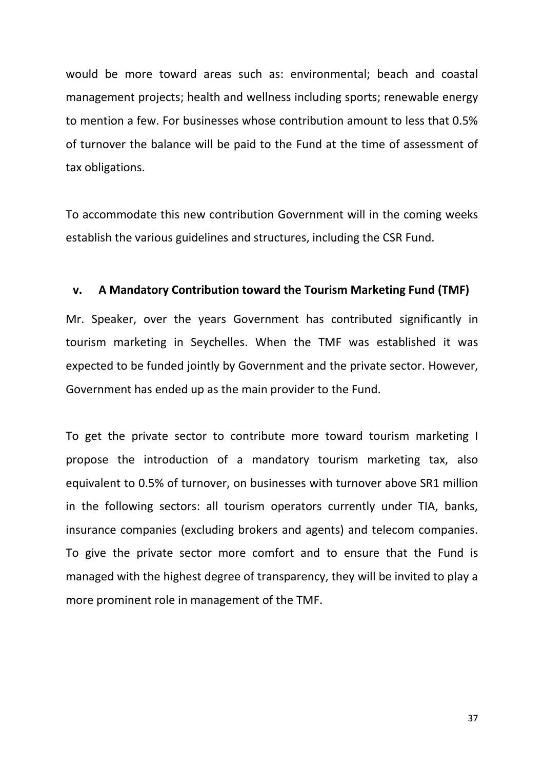would be more toward areas such as: environmental; beach and coastal management projects; health and wellness including sports; renewable energy to mention a few. For businesses whose contribution amount to less that 0.5% of turnover the balance will be paid to the Fund at the time of assessment of tax obligations.

To accommodate this new contribution Government will in the coming weeks establish the various guidelines and structures, including the CSR Fund.

#### **v. A Mandatory Contribution toward the Tourism Marketing Fund (TMF)**

Mr. Speaker, over the years Government has contributed significantly in tourism marketing in Seychelles. When the TMF was established it was expected to be funded jointly by Government and the private sector. However, Government has ended up as the main provider to the Fund.

To get the private sector to contribute more toward tourism marketing I propose the introduction of a mandatory tourism marketing tax, also equivalent to 0.5% of turnover, on businesses with turnover above SR1 million in the following sectors: all tourism operators currently under TIA, banks, insurance companies (excluding brokers and agents) and telecom companies. To give the private sector more comfort and to ensure that the Fund is managed with the highest degree of transparency, they will be invited to play a more prominent role in management of the TMF.

37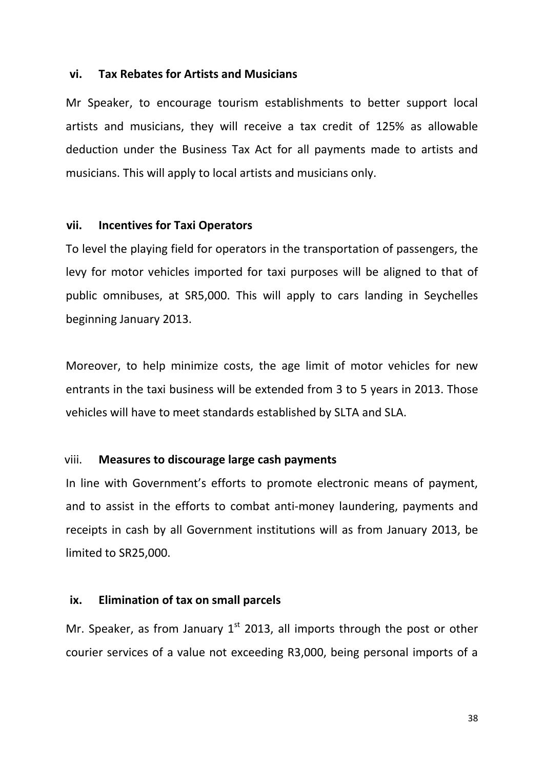## **vi. Tax Rebates for Artists and Musicians**

Mr Speaker, to encourage tourism establishments to better support local artists and musicians, they will receive a tax credit of 125% as allowable deduction under the Business Tax Act for all payments made to artists and musicians. This will apply to local artists and musicians only.

### **vii. Incentives for Taxi Operators**

To level the playing field for operators in the transportation of passengers, the levy for motor vehicles imported for taxi purposes will be aligned to that of public omnibuses, at SR5,000. This will apply to cars landing in Seychelles beginning January 2013.

Moreover, to help minimize costs, the age limit of motor vehicles for new entrants in the taxi business will be extended from 3 to 5 years in 2013. Those vehicles will have to meet standards established by SLTA and SLA.

## viii. **Measures to discourage large cash payments**

In line with Government's efforts to promote electronic means of payment, and to assist in the efforts to combat anti-money laundering, payments and receipts in cash by all Government institutions will as from January 2013, be limited to SR25,000.

## **ix. Elimination of tax on small parcels**

Mr. Speaker, as from January  $1<sup>st</sup>$  2013, all imports through the post or other courier services of a value not exceeding R3,000, being personal imports of a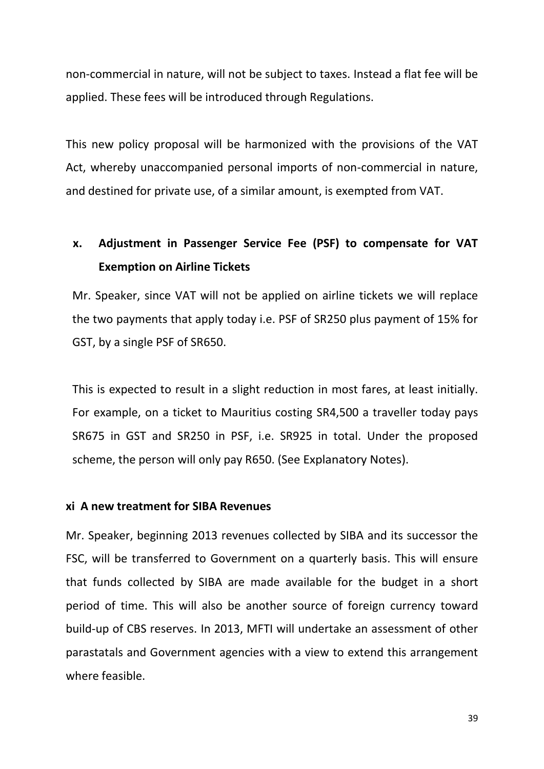non-commercial in nature, will not be subject to taxes. Instead a flat fee will be applied. These fees will be introduced through Regulations.

This new policy proposal will be harmonized with the provisions of the VAT Act, whereby unaccompanied personal imports of non-commercial in nature, and destined for private use, of a similar amount, is exempted from VAT.

# **x. Adjustment in Passenger Service Fee (PSF) to compensate for VAT Exemption on Airline Tickets**

Mr. Speaker, since VAT will not be applied on airline tickets we will replace the two payments that apply today i.e. PSF of SR250 plus payment of 15% for GST, by a single PSF of SR650.

This is expected to result in a slight reduction in most fares, at least initially. For example, on a ticket to Mauritius costing SR4,500 a traveller today pays SR675 in GST and SR250 in PSF, i.e. SR925 in total. Under the proposed scheme, the person will only pay R650. (See Explanatory Notes).

## **xi A new treatment for SIBA Revenues**

Mr. Speaker, beginning 2013 revenues collected by SIBA and its successor the FSC, will be transferred to Government on a quarterly basis. This will ensure that funds collected by SIBA are made available for the budget in a short period of time. This will also be another source of foreign currency toward build-up of CBS reserves. In 2013, MFTI will undertake an assessment of other parastatals and Government agencies with a view to extend this arrangement where feasible.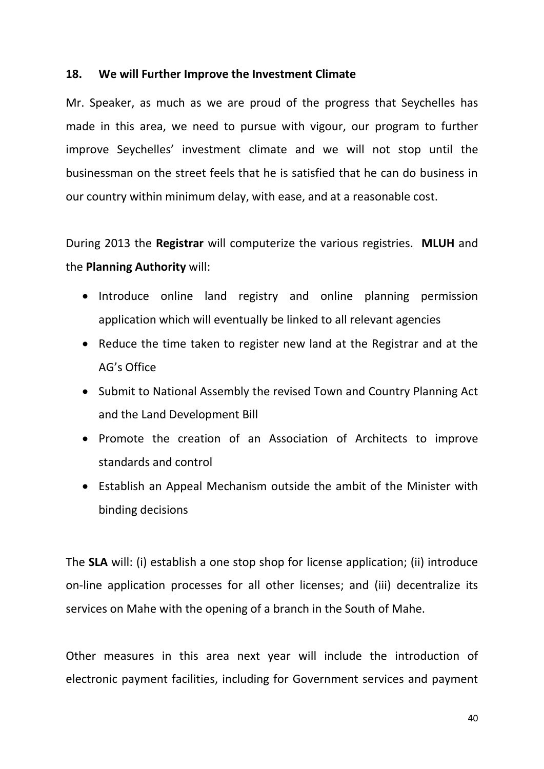## **18. We will Further Improve the Investment Climate**

Mr. Speaker, as much as we are proud of the progress that Seychelles has made in this area, we need to pursue with vigour, our program to further improve Seychelles' investment climate and we will not stop until the businessman on the street feels that he is satisfied that he can do business in our country within minimum delay, with ease, and at a reasonable cost.

During 2013 the **Registrar** will computerize the various registries. **MLUH** and the **Planning Authority** will:

- Introduce online land registry and online planning permission application which will eventually be linked to all relevant agencies
- Reduce the time taken to register new land at the Registrar and at the AG's Office
- Submit to National Assembly the revised Town and Country Planning Act and the Land Development Bill
- Promote the creation of an Association of Architects to improve standards and control
- Establish an Appeal Mechanism outside the ambit of the Minister with binding decisions

The **SLA** will: (i) establish a one stop shop for license application; (ii) introduce on-line application processes for all other licenses; and (iii) decentralize its services on Mahe with the opening of a branch in the South of Mahe.

Other measures in this area next year will include the introduction of electronic payment facilities, including for Government services and payment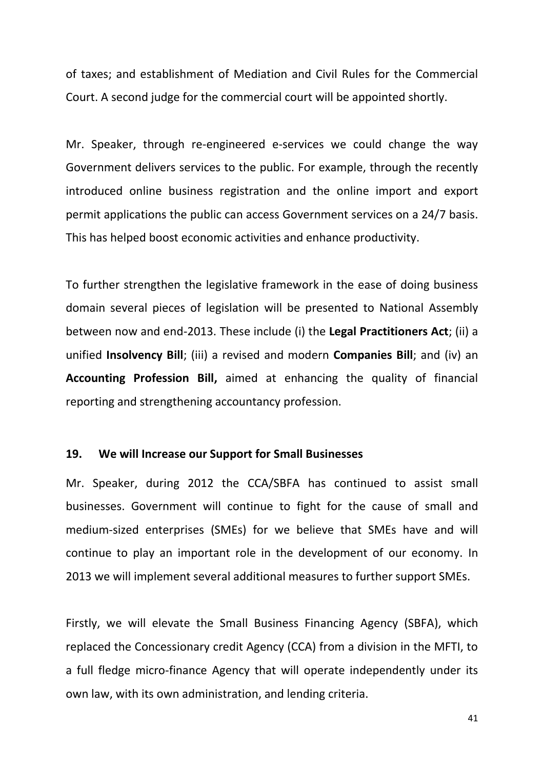of taxes; and establishment of Mediation and Civil Rules for the Commercial Court. A second judge for the commercial court will be appointed shortly.

Mr. Speaker, through re-engineered e-services we could change the way Government delivers services to the public. For example, through the recently introduced online business registration and the online import and export permit applications the public can access Government services on a 24/7 basis. This has helped boost economic activities and enhance productivity.

To further strengthen the legislative framework in the ease of doing business domain several pieces of legislation will be presented to National Assembly between now and end-2013. These include (i) the **Legal Practitioners Act**; (ii) a unified **Insolvency Bill**; (iii) a revised and modern **Companies Bill**; and (iv) an **Accounting Profession Bill,** aimed at enhancing the quality of financial reporting and strengthening accountancy profession.

#### **19. We will Increase our Support for Small Businesses**

Mr. Speaker, during 2012 the CCA/SBFA has continued to assist small businesses. Government will continue to fight for the cause of small and medium-sized enterprises (SMEs) for we believe that SMEs have and will continue to play an important role in the development of our economy. In 2013 we will implement several additional measures to further support SMEs.

Firstly, we will elevate the Small Business Financing Agency (SBFA), which replaced the Concessionary credit Agency (CCA) from a division in the MFTI, to a full fledge micro-finance Agency that will operate independently under its own law, with its own administration, and lending criteria.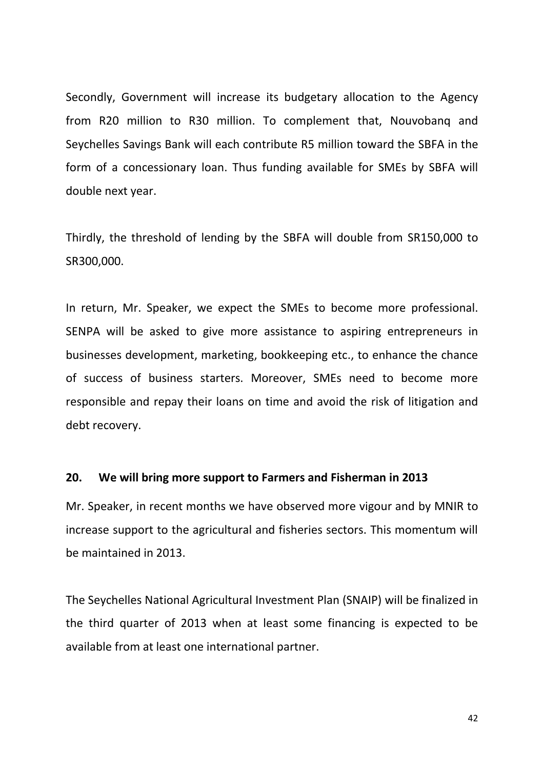Secondly, Government will increase its budgetary allocation to the Agency from R20 million to R30 million. To complement that, Nouvobanq and Seychelles Savings Bank will each contribute R5 million toward the SBFA in the form of a concessionary loan. Thus funding available for SMEs by SBFA will double next year.

Thirdly, the threshold of lending by the SBFA will double from SR150,000 to SR300,000.

In return, Mr. Speaker, we expect the SMEs to become more professional. SENPA will be asked to give more assistance to aspiring entrepreneurs in businesses development, marketing, bookkeeping etc., to enhance the chance of success of business starters. Moreover, SMEs need to become more responsible and repay their loans on time and avoid the risk of litigation and debt recovery.

#### **20. We will bring more support to Farmers and Fisherman in 2013**

Mr. Speaker, in recent months we have observed more vigour and by MNIR to increase support to the agricultural and fisheries sectors. This momentum will be maintained in 2013.

The Seychelles National Agricultural Investment Plan (SNAIP) will be finalized in the third quarter of 2013 when at least some financing is expected to be available from at least one international partner.

42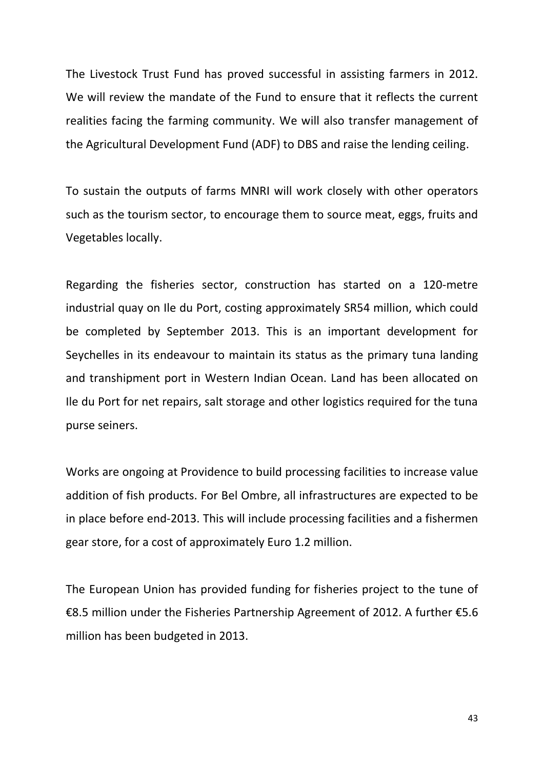The Livestock Trust Fund has proved successful in assisting farmers in 2012. We will review the mandate of the Fund to ensure that it reflects the current realities facing the farming community. We will also transfer management of the Agricultural Development Fund (ADF) to DBS and raise the lending ceiling.

To sustain the outputs of farms MNRI will work closely with other operators such as the tourism sector, to encourage them to source meat, eggs, fruits and Vegetables locally.

Regarding the fisheries sector, construction has started on a 120-metre industrial quay on Ile du Port, costing approximately SR54 million, which could be completed by September 2013. This is an important development for Seychelles in its endeavour to maintain its status as the primary tuna landing and transhipment port in Western Indian Ocean. Land has been allocated on Ile du Port for net repairs, salt storage and other logistics required for the tuna purse seiners.

Works are ongoing at Providence to build processing facilities to increase value addition of fish products. For Bel Ombre, all infrastructures are expected to be in place before end-2013. This will include processing facilities and a fishermen gear store, for a cost of approximately Euro 1.2 million.

The European Union has provided funding for fisheries project to the tune of €8.5 million under the Fisheries Partnership Agreement of 2012. A further €5.6 million has been budgeted in 2013.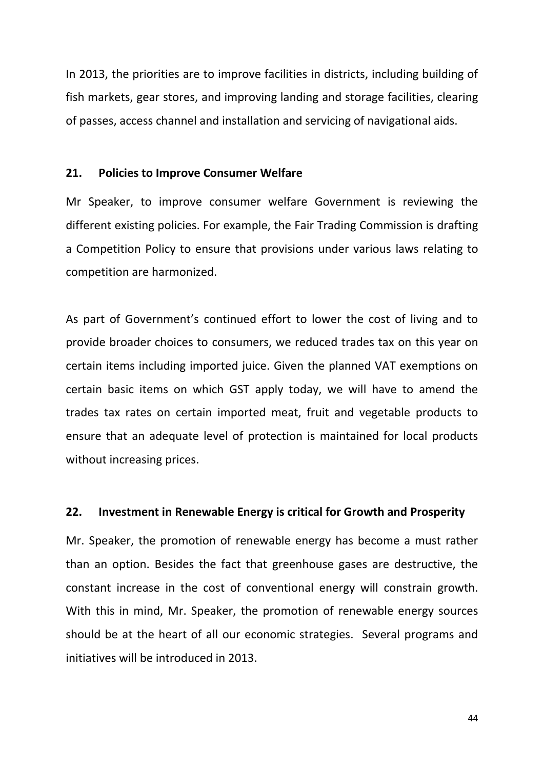In 2013, the priorities are to improve facilities in districts, including building of fish markets, gear stores, and improving landing and storage facilities, clearing of passes, access channel and installation and servicing of navigational aids.

#### **21. Policies to Improve Consumer Welfare**

Mr Speaker, to improve consumer welfare Government is reviewing the different existing policies. For example, the Fair Trading Commission is drafting a Competition Policy to ensure that provisions under various laws relating to competition are harmonized.

As part of Government's continued effort to lower the cost of living and to provide broader choices to consumers, we reduced trades tax on this year on certain items including imported juice. Given the planned VAT exemptions on certain basic items on which GST apply today, we will have to amend the trades tax rates on certain imported meat, fruit and vegetable products to ensure that an adequate level of protection is maintained for local products without increasing prices.

## **22. Investment in Renewable Energy is critical for Growth and Prosperity**

Mr. Speaker, the promotion of renewable energy has become a must rather than an option. Besides the fact that greenhouse gases are destructive, the constant increase in the cost of conventional energy will constrain growth. With this in mind, Mr. Speaker, the promotion of renewable energy sources should be at the heart of all our economic strategies. Several programs and initiatives will be introduced in 2013.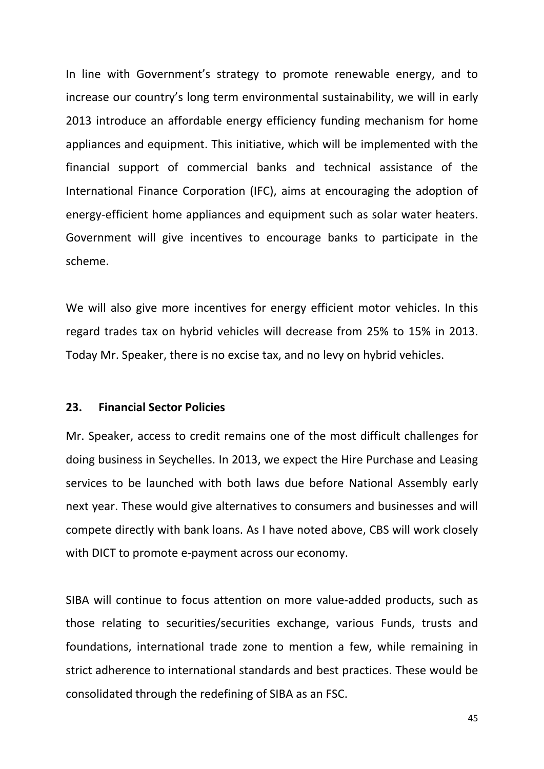In line with Government's strategy to promote renewable energy, and to increase our country's long term environmental sustainability, we will in early 2013 introduce an affordable energy efficiency funding mechanism for home appliances and equipment. This initiative, which will be implemented with the financial support of commercial banks and technical assistance of the International Finance Corporation (IFC), aims at encouraging the adoption of energy-efficient home appliances and equipment such as solar water heaters. Government will give incentives to encourage banks to participate in the scheme.

We will also give more incentives for energy efficient motor vehicles. In this regard trades tax on hybrid vehicles will decrease from 25% to 15% in 2013. Today Mr. Speaker, there is no excise tax, and no levy on hybrid vehicles.

#### **23. Financial Sector Policies**

Mr. Speaker, access to credit remains one of the most difficult challenges for doing business in Seychelles. In 2013, we expect the Hire Purchase and Leasing services to be launched with both laws due before National Assembly early next year. These would give alternatives to consumers and businesses and will compete directly with bank loans. As I have noted above, CBS will work closely with DICT to promote e-payment across our economy.

SIBA will continue to focus attention on more value-added products, such as those relating to securities/securities exchange, various Funds, trusts and foundations, international trade zone to mention a few, while remaining in strict adherence to international standards and best practices. These would be consolidated through the redefining of SIBA as an FSC.

45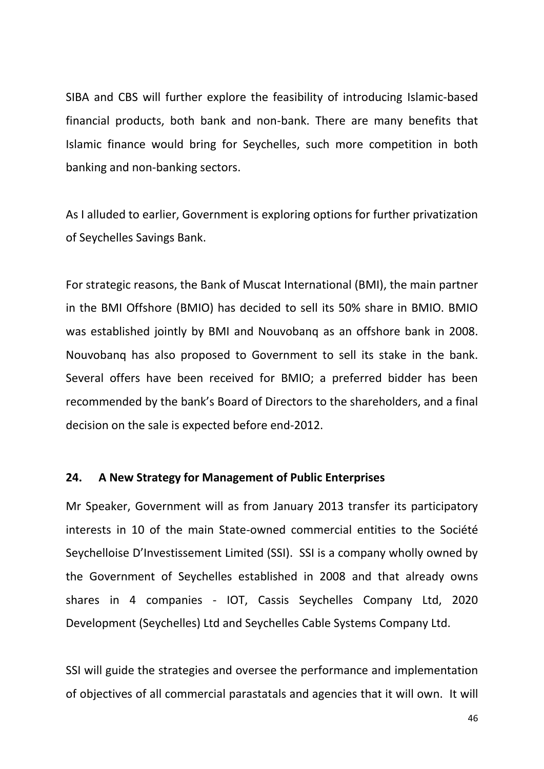SIBA and CBS will further explore the feasibility of introducing Islamic-based financial products, both bank and non-bank. There are many benefits that Islamic finance would bring for Seychelles, such more competition in both banking and non-banking sectors.

As I alluded to earlier, Government is exploring options for further privatization of Seychelles Savings Bank.

For strategic reasons, the Bank of Muscat International (BMI), the main partner in the BMI Offshore (BMIO) has decided to sell its 50% share in BMIO. BMIO was established jointly by BMI and Nouvobanq as an offshore bank in 2008. Nouvobanq has also proposed to Government to sell its stake in the bank. Several offers have been received for BMIO; a preferred bidder has been recommended by the bank's Board of Directors to the shareholders, and a final decision on the sale is expected before end-2012.

## **24. A New Strategy for Management of Public Enterprises**

Mr Speaker, Government will as from January 2013 transfer its participatory interests in 10 of the main State-owned commercial entities to the Société Seychelloise D'Investissement Limited (SSI). SSI is a company wholly owned by the Government of Seychelles established in 2008 and that already owns shares in 4 companies - IOT, Cassis Seychelles Company Ltd, 2020 Development (Seychelles) Ltd and Seychelles Cable Systems Company Ltd.

SSI will guide the strategies and oversee the performance and implementation of objectives of all commercial parastatals and agencies that it will own. It will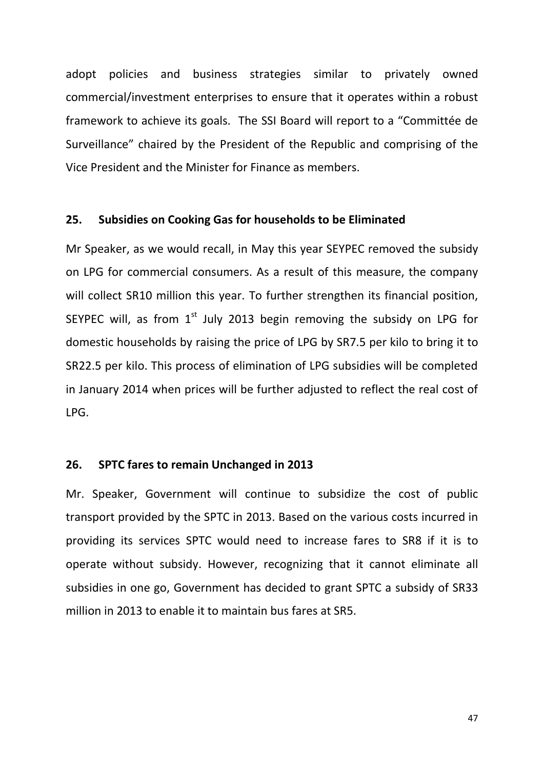adopt policies and business strategies similar to privately owned commercial/investment enterprises to ensure that it operates within a robust framework to achieve its goals. The SSI Board will report to a "Committée de Surveillance" chaired by the President of the Republic and comprising of the Vice President and the Minister for Finance as members.

## **25. Subsidies on Cooking Gas for households to be Eliminated**

Mr Speaker, as we would recall, in May this year SEYPEC removed the subsidy on LPG for commercial consumers. As a result of this measure, the company will collect SR10 million this year. To further strengthen its financial position, SEYPEC will, as from  $1<sup>st</sup>$  July 2013 begin removing the subsidy on LPG for domestic households by raising the price of LPG by SR7.5 per kilo to bring it to SR22.5 per kilo. This process of elimination of LPG subsidies will be completed in January 2014 when prices will be further adjusted to reflect the real cost of LPG.

## **26. SPTC fares to remain Unchanged in 2013**

Mr. Speaker, Government will continue to subsidize the cost of public transport provided by the SPTC in 2013. Based on the various costs incurred in providing its services SPTC would need to increase fares to SR8 if it is to operate without subsidy. However, recognizing that it cannot eliminate all subsidies in one go, Government has decided to grant SPTC a subsidy of SR33 million in 2013 to enable it to maintain bus fares at SR5.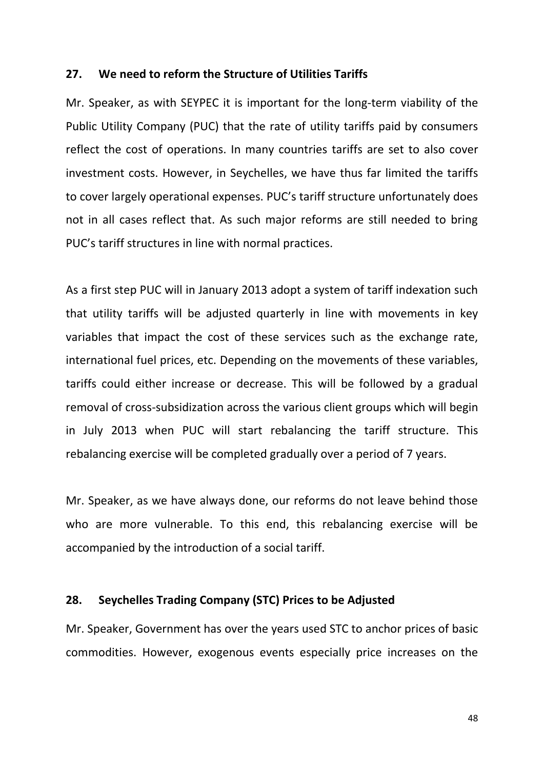#### **27. We need to reform the Structure of Utilities Tariffs**

Mr. Speaker, as with SEYPEC it is important for the long-term viability of the Public Utility Company (PUC) that the rate of utility tariffs paid by consumers reflect the cost of operations. In many countries tariffs are set to also cover investment costs. However, in Seychelles, we have thus far limited the tariffs to cover largely operational expenses. PUC's tariff structure unfortunately does not in all cases reflect that. As such major reforms are still needed to bring PUC's tariff structures in line with normal practices.

As a first step PUC will in January 2013 adopt a system of tariff indexation such that utility tariffs will be adjusted quarterly in line with movements in key variables that impact the cost of these services such as the exchange rate, international fuel prices, etc. Depending on the movements of these variables, tariffs could either increase or decrease. This will be followed by a gradual removal of cross-subsidization across the various client groups which will begin in July 2013 when PUC will start rebalancing the tariff structure. This rebalancing exercise will be completed gradually over a period of 7 years.

Mr. Speaker, as we have always done, our reforms do not leave behind those who are more vulnerable. To this end, this rebalancing exercise will be accompanied by the introduction of a social tariff.

#### **28. Seychelles Trading Company (STC) Prices to be Adjusted**

Mr. Speaker, Government has over the years used STC to anchor prices of basic commodities. However, exogenous events especially price increases on the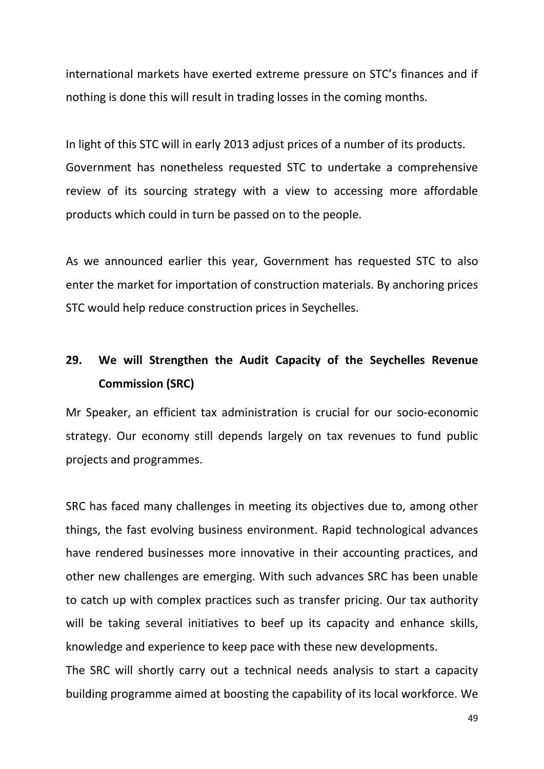international markets have exerted extreme pressure on STC's finances and if nothing is done this will result in trading losses in the coming months.

In light of this STC will in early 2013 adjust prices of a number of its products. Government has nonetheless requested STC to undertake a comprehensive review of its sourcing strategy with a view to accessing more affordable products which could in turn be passed on to the people.

As we announced earlier this year, Government has requested STC to also enter the market for importation of construction materials. By anchoring prices STC would help reduce construction prices in Seychelles.

# **29. We will Strengthen the Audit Capacity of the Seychelles Revenue Commission (SRC)**

Mr Speaker, an efficient tax administration is crucial for our socio-economic strategy. Our economy still depends largely on tax revenues to fund public projects and programmes.

SRC has faced many challenges in meeting its objectives due to, among other things, the fast evolving business environment. Rapid technological advances have rendered businesses more innovative in their accounting practices, and other new challenges are emerging. With such advances SRC has been unable to catch up with complex practices such as transfer pricing. Our tax authority will be taking several initiatives to beef up its capacity and enhance skills, knowledge and experience to keep pace with these new developments.

The SRC will shortly carry out a technical needs analysis to start a capacity building programme aimed at boosting the capability of its local workforce. We

49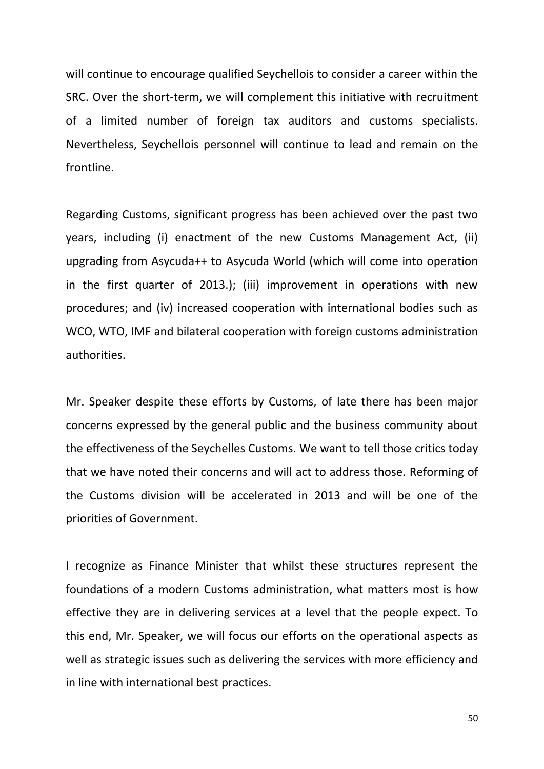will continue to encourage qualified Seychellois to consider a career within the SRC. Over the short-term, we will complement this initiative with recruitment of a limited number of foreign tax auditors and customs specialists. Nevertheless, Seychellois personnel will continue to lead and remain on the frontline.

Regarding Customs, significant progress has been achieved over the past two years, including (i) enactment of the new Customs Management Act, (ii) upgrading from Asycuda++ to Asycuda World (which will come into operation in the first quarter of 2013.); (iii) improvement in operations with new procedures; and (iv) increased cooperation with international bodies such as WCO, WTO, IMF and bilateral cooperation with foreign customs administration authorities.

Mr. Speaker despite these efforts by Customs, of late there has been major concerns expressed by the general public and the business community about the effectiveness of the Seychelles Customs. We want to tell those critics today that we have noted their concerns and will act to address those. Reforming of the Customs division will be accelerated in 2013 and will be one of the priorities of Government.

I recognize as Finance Minister that whilst these structures represent the foundations of a modern Customs administration, what matters most is how effective they are in delivering services at a level that the people expect. To this end, Mr. Speaker, we will focus our efforts on the operational aspects as well as strategic issues such as delivering the services with more efficiency and in line with international best practices.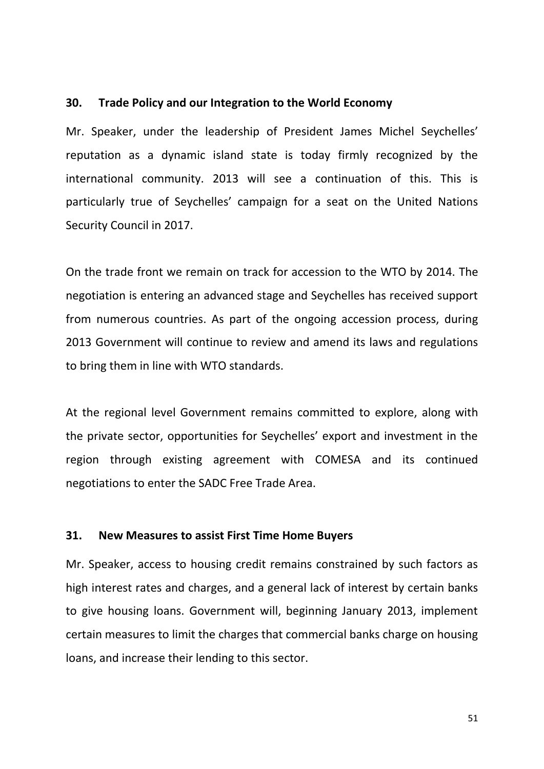#### **30. Trade Policy and our Integration to the World Economy**

Mr. Speaker, under the leadership of President James Michel Seychelles' reputation as a dynamic island state is today firmly recognized by the international community. 2013 will see a continuation of this. This is particularly true of Seychelles' campaign for a seat on the United Nations Security Council in 2017.

On the trade front we remain on track for accession to the WTO by 2014. The negotiation is entering an advanced stage and Seychelles has received support from numerous countries. As part of the ongoing accession process, during 2013 Government will continue to review and amend its laws and regulations to bring them in line with WTO standards.

At the regional level Government remains committed to explore, along with the private sector, opportunities for Seychelles' export and investment in the region through existing agreement with COMESA and its continued negotiations to enter the SADC Free Trade Area.

#### **31. New Measures to assist First Time Home Buyers**

Mr. Speaker, access to housing credit remains constrained by such factors as high interest rates and charges, and a general lack of interest by certain banks to give housing loans. Government will, beginning January 2013, implement certain measures to limit the charges that commercial banks charge on housing loans, and increase their lending to this sector.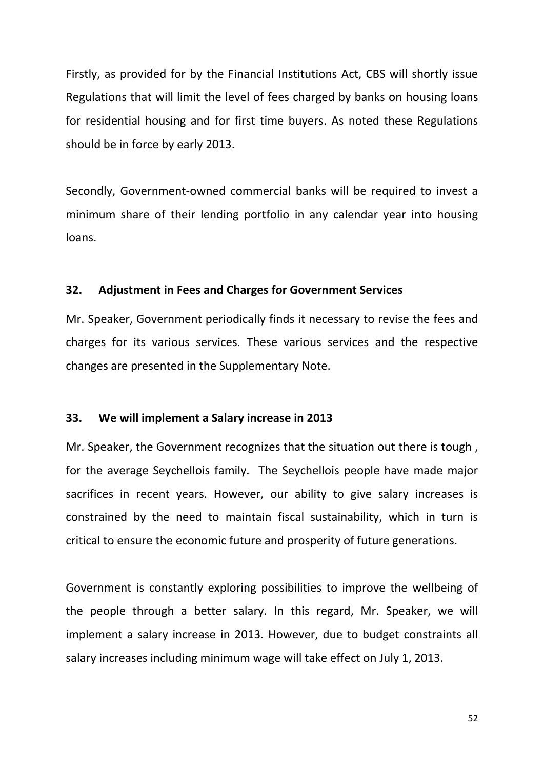Firstly, as provided for by the Financial Institutions Act, CBS will shortly issue Regulations that will limit the level of fees charged by banks on housing loans for residential housing and for first time buyers. As noted these Regulations should be in force by early 2013.

Secondly, Government-owned commercial banks will be required to invest a minimum share of their lending portfolio in any calendar year into housing loans.

## **32. Adjustment in Fees and Charges for Government Services**

Mr. Speaker, Government periodically finds it necessary to revise the fees and charges for its various services. These various services and the respective changes are presented in the Supplementary Note.

#### **33. We will implement a Salary increase in 2013**

Mr. Speaker, the Government recognizes that the situation out there is tough , for the average Seychellois family. The Seychellois people have made major sacrifices in recent years. However, our ability to give salary increases is constrained by the need to maintain fiscal sustainability, which in turn is critical to ensure the economic future and prosperity of future generations.

Government is constantly exploring possibilities to improve the wellbeing of the people through a better salary. In this regard, Mr. Speaker, we will implement a salary increase in 2013. However, due to budget constraints all salary increases including minimum wage will take effect on July 1, 2013.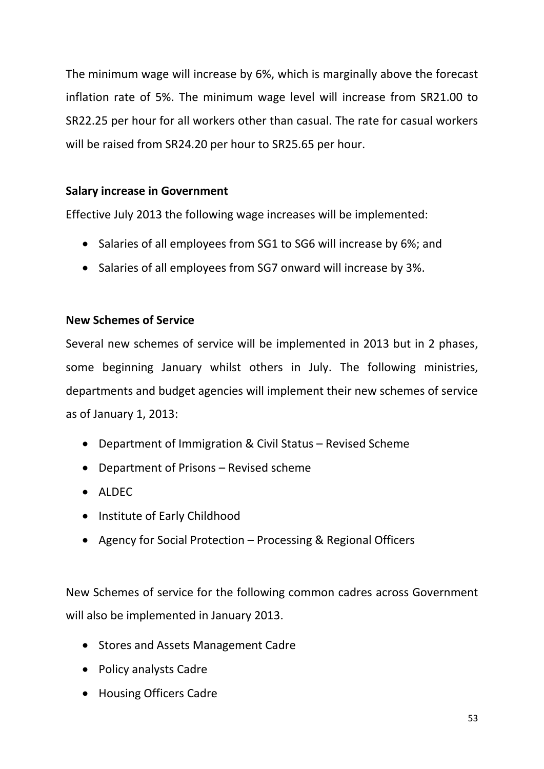The minimum wage will increase by 6%, which is marginally above the forecast inflation rate of 5%. The minimum wage level will increase from SR21.00 to SR22.25 per hour for all workers other than casual. The rate for casual workers will be raised from SR24.20 per hour to SR25.65 per hour.

## **Salary increase in Government**

Effective July 2013 the following wage increases will be implemented:

- Salaries of all employees from SG1 to SG6 will increase by 6%; and
- Salaries of all employees from SG7 onward will increase by 3%.

## **New Schemes of Service**

Several new schemes of service will be implemented in 2013 but in 2 phases, some beginning January whilst others in July. The following ministries, departments and budget agencies will implement their new schemes of service as of January 1, 2013:

- Department of Immigration & Civil Status Revised Scheme
- Department of Prisons Revised scheme
- $\bullet$  ALDEC
- Institute of Early Childhood
- Agency for Social Protection Processing & Regional Officers

New Schemes of service for the following common cadres across Government will also be implemented in January 2013.

- Stores and Assets Management Cadre
- Policy analysts Cadre
- Housing Officers Cadre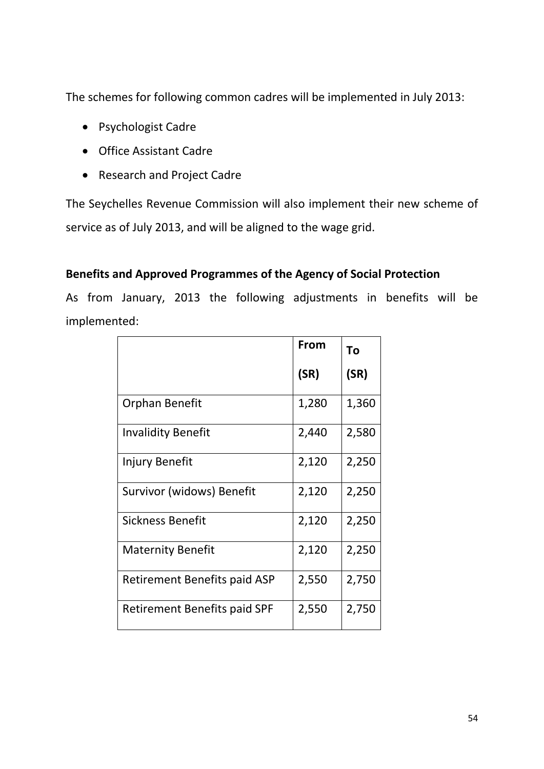The schemes for following common cadres will be implemented in July 2013:

- Psychologist Cadre
- Office Assistant Cadre
- Research and Project Cadre

The Seychelles Revenue Commission will also implement their new scheme of service as of July 2013, and will be aligned to the wage grid.

## **Benefits and Approved Programmes of the Agency of Social Protection**

As from January, 2013 the following adjustments in benefits will be implemented:

|                              | From  | To    |
|------------------------------|-------|-------|
|                              | (SR)  | (SR)  |
| Orphan Benefit               | 1,280 | 1,360 |
| <b>Invalidity Benefit</b>    | 2,440 | 2,580 |
| Injury Benefit               | 2,120 | 2,250 |
| Survivor (widows) Benefit    | 2,120 | 2,250 |
| Sickness Benefit             | 2,120 | 2,250 |
| <b>Maternity Benefit</b>     | 2,120 | 2,250 |
| Retirement Benefits paid ASP | 2,550 | 2,750 |
| Retirement Benefits paid SPF | 2,550 | 2,750 |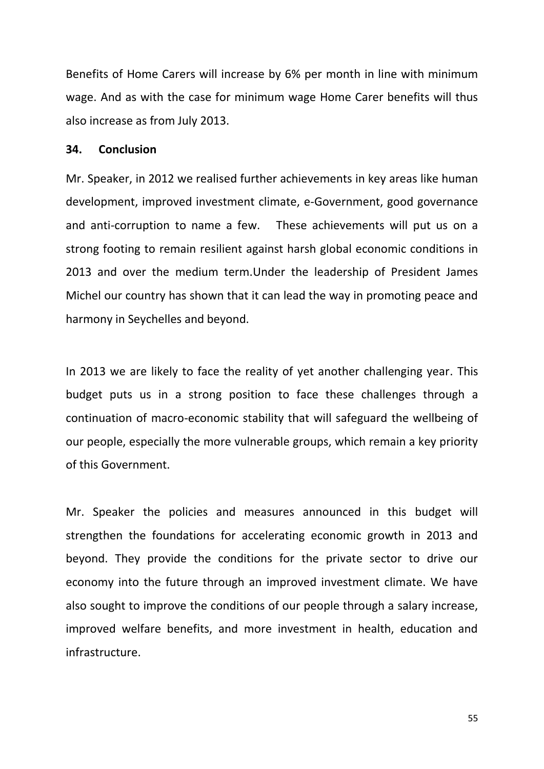Benefits of Home Carers will increase by 6% per month in line with minimum wage. And as with the case for minimum wage Home Carer benefits will thus also increase as from July 2013.

## **34. Conclusion**

Mr. Speaker, in 2012 we realised further achievements in key areas like human development, improved investment climate, e-Government, good governance and anti-corruption to name a few. These achievements will put us on a strong footing to remain resilient against harsh global economic conditions in 2013 and over the medium term.Under the leadership of President James Michel our country has shown that it can lead the way in promoting peace and harmony in Seychelles and beyond.

In 2013 we are likely to face the reality of yet another challenging year. This budget puts us in a strong position to face these challenges through a continuation of macro-economic stability that will safeguard the wellbeing of our people, especially the more vulnerable groups, which remain a key priority of this Government.

Mr. Speaker the policies and measures announced in this budget will strengthen the foundations for accelerating economic growth in 2013 and beyond. They provide the conditions for the private sector to drive our economy into the future through an improved investment climate. We have also sought to improve the conditions of our people through a salary increase, improved welfare benefits, and more investment in health, education and infrastructure.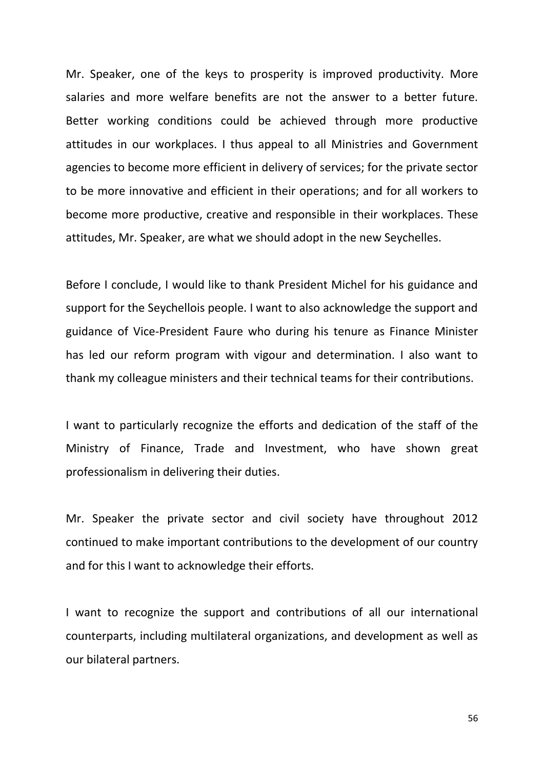Mr. Speaker, one of the keys to prosperity is improved productivity. More salaries and more welfare benefits are not the answer to a better future. Better working conditions could be achieved through more productive attitudes in our workplaces. I thus appeal to all Ministries and Government agencies to become more efficient in delivery of services; for the private sector to be more innovative and efficient in their operations; and for all workers to become more productive, creative and responsible in their workplaces. These attitudes, Mr. Speaker, are what we should adopt in the new Seychelles.

Before I conclude, I would like to thank President Michel for his guidance and support for the Seychellois people. I want to also acknowledge the support and guidance of Vice-President Faure who during his tenure as Finance Minister has led our reform program with vigour and determination. I also want to thank my colleague ministers and their technical teams for their contributions.

I want to particularly recognize the efforts and dedication of the staff of the Ministry of Finance, Trade and Investment, who have shown great professionalism in delivering their duties.

Mr. Speaker the private sector and civil society have throughout 2012 continued to make important contributions to the development of our country and for this I want to acknowledge their efforts.

I want to recognize the support and contributions of all our international counterparts, including multilateral organizations, and development as well as our bilateral partners.

56